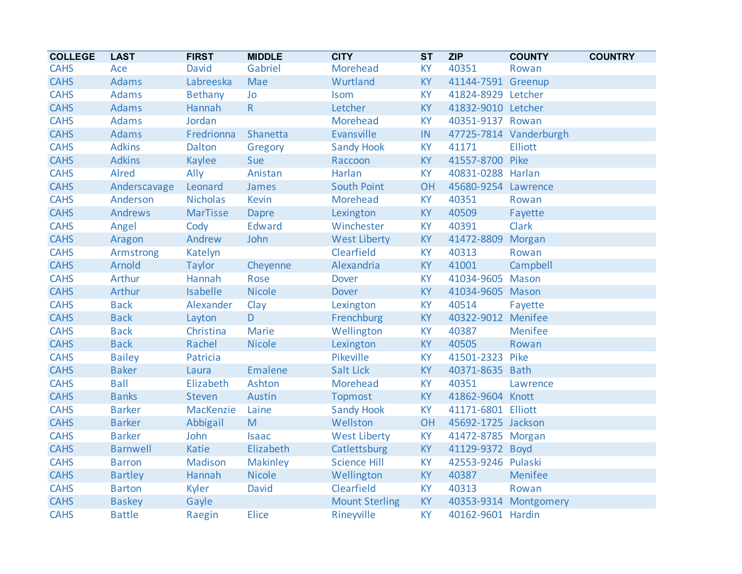| <b>COLLEGE</b> | <b>LAST</b>     | <b>FIRST</b>    | <b>MIDDLE</b>   | <b>CITY</b>           | <b>ST</b>                  | <b>ZIP</b>          | <b>COUNTY</b>          | <b>COUNTRY</b> |
|----------------|-----------------|-----------------|-----------------|-----------------------|----------------------------|---------------------|------------------------|----------------|
| <b>CAHS</b>    | Ace             | David           | Gabriel         | Morehead              | <b>KY</b>                  | 40351               | Rowan                  |                |
| <b>CAHS</b>    | <b>Adams</b>    | Labreeska       | Mae             | Wurtland              | KY                         | 41144-7591 Greenup  |                        |                |
| <b>CAHS</b>    | <b>Adams</b>    | Bethany         | Jo              | Isom                  | KY                         | 41824-8929 Letcher  |                        |                |
| <b>CAHS</b>    | <b>Adams</b>    | Hannah          | $R_{\parallel}$ | Letcher               | <b>KY</b>                  | 41832-9010 Letcher  |                        |                |
| <b>CAHS</b>    | <b>Adams</b>    | Jordan          |                 | Morehead              | <b>KY</b>                  | 40351-9137 Rowan    |                        |                |
| <b>CAHS</b>    | <b>Adams</b>    | Fredrionna      | Shanetta        | Evansville            | $\ensuremath{\mathsf{IN}}$ |                     | 47725-7814 Vanderburgh |                |
| <b>CAHS</b>    | <b>Adkins</b>   | Dalton          | Gregory         | <b>Sandy Hook</b>     | <b>KY</b>                  | 41171               | <b>Elliott</b>         |                |
| <b>CAHS</b>    | <b>Adkins</b>   | Kaylee          | Sue             | Raccoon               | <b>KY</b>                  | 41557-8700 Pike     |                        |                |
| <b>CAHS</b>    | Alred           | Ally            | Anistan         | Harlan                | <b>KY</b>                  | 40831-0288 Harlan   |                        |                |
| <b>CAHS</b>    | Anderscavage    | Leonard         | James           | <b>South Point</b>    | OH                         | 45680-9254 Lawrence |                        |                |
| <b>CAHS</b>    | Anderson        | <b>Nicholas</b> | <b>Kevin</b>    | Morehead              | <b>KY</b>                  | 40351               | Rowan                  |                |
| <b>CAHS</b>    | <b>Andrews</b>  | <b>MarTisse</b> | Dapre           | Lexington             | KY                         | 40509               | Fayette                |                |
| <b>CAHS</b>    | Angel           | Cody            | <b>Edward</b>   | Winchester            | <b>KY</b>                  | 40391               | <b>Clark</b>           |                |
| <b>CAHS</b>    | Aragon          | Andrew          | John            | <b>West Liberty</b>   | <b>KY</b>                  | 41472-8809          | Morgan                 |                |
| <b>CAHS</b>    | Armstrong       | Katelyn         |                 | Clearfield            | <b>KY</b>                  | 40313               | Rowan                  |                |
| <b>CAHS</b>    | Arnold          | <b>Taylor</b>   | Cheyenne        | Alexandria            | <b>KY</b>                  | 41001               | Campbell               |                |
| <b>CAHS</b>    | Arthur          | Hannah          | Rose            | <b>Dover</b>          | <b>KY</b>                  | 41034-9605 Mason    |                        |                |
| <b>CAHS</b>    | Arthur          | Isabelle        | <b>Nicole</b>   | <b>Dover</b>          | <b>KY</b>                  | 41034-9605 Mason    |                        |                |
| <b>CAHS</b>    | <b>Back</b>     | Alexander       | Clay            | Lexington             | KY                         | 40514               | Fayette                |                |
| <b>CAHS</b>    | <b>Back</b>     | Layton          | D               | Frenchburg            | <b>KY</b>                  | 40322-9012 Menifee  |                        |                |
| <b>CAHS</b>    | <b>Back</b>     | Christina       | <b>Marie</b>    | Wellington            | <b>KY</b>                  | 40387               | <b>Menifee</b>         |                |
| <b>CAHS</b>    | <b>Back</b>     | Rachel          | <b>Nicole</b>   | Lexington             | <b>KY</b>                  | 40505               | Rowan                  |                |
| <b>CAHS</b>    | <b>Bailey</b>   | Patricia        |                 | Pikeville             | <b>KY</b>                  | 41501-2323 Pike     |                        |                |
| <b>CAHS</b>    | <b>Baker</b>    | Laura           | Emalene         | <b>Salt Lick</b>      | <b>KY</b>                  | 40371-8635 Bath     |                        |                |
| <b>CAHS</b>    | <b>Ball</b>     | Elizabeth       | Ashton          | Morehead              | <b>KY</b>                  | 40351               | Lawrence               |                |
| <b>CAHS</b>    | <b>Banks</b>    | <b>Steven</b>   | Austin          | <b>Topmost</b>        | <b>KY</b>                  | 41862-9604 Knott    |                        |                |
| <b>CAHS</b>    | <b>Barker</b>   | MacKenzie       | Laine           | <b>Sandy Hook</b>     | <b>KY</b>                  | 41171-6801 Elliott  |                        |                |
| <b>CAHS</b>    | <b>Barker</b>   | Abbigail        | M               | Wellston              | OH                         | 45692-1725 Jackson  |                        |                |
| <b>CAHS</b>    | <b>Barker</b>   | John            | <b>Isaac</b>    | <b>West Liberty</b>   | <b>KY</b>                  | 41472-8785 Morgan   |                        |                |
| <b>CAHS</b>    | <b>Barnwell</b> | Katie           | Elizabeth       | Catlettsburg          | <b>KY</b>                  | 41129-9372 Boyd     |                        |                |
| <b>CAHS</b>    | <b>Barron</b>   | Madison         | Makinley        | <b>Science Hill</b>   | <b>KY</b>                  | 42553-9246 Pulaski  |                        |                |
| <b>CAHS</b>    | <b>Bartley</b>  | Hannah          | <b>Nicole</b>   | Wellington            | <b>KY</b>                  | 40387               | Menifee                |                |
| <b>CAHS</b>    | <b>Barton</b>   | Kyler           | David           | Clearfield            | <b>KY</b>                  | 40313               | Rowan                  |                |
| <b>CAHS</b>    | <b>Baskey</b>   | Gayle           |                 | <b>Mount Sterling</b> | KY                         |                     | 40353-9314 Montgomery  |                |
| <b>CAHS</b>    | <b>Battle</b>   | Raegin          | <b>Elice</b>    | Rineyville            | <b>KY</b>                  | 40162-9601 Hardin   |                        |                |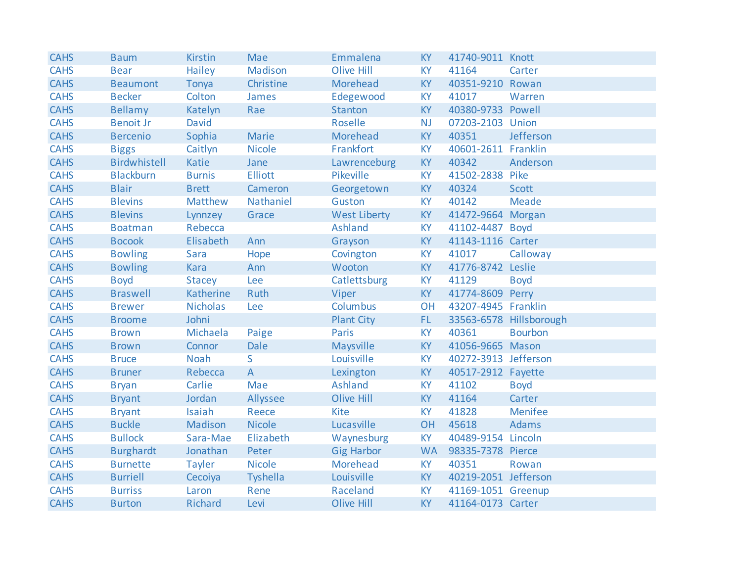| <b>CAHS</b> | <b>Baum</b>      | <b>Kirstin</b>  | Mae            | Emmalena            | <b>KY</b> | 41740-9011 Knott     |                         |
|-------------|------------------|-----------------|----------------|---------------------|-----------|----------------------|-------------------------|
| <b>CAHS</b> | <b>Bear</b>      | Hailey          | Madison        | <b>Olive Hill</b>   | <b>KY</b> | 41164                | Carter                  |
| <b>CAHS</b> | <b>Beaumont</b>  | Tonya           | Christine      | Morehead            | <b>KY</b> | 40351-9210 Rowan     |                         |
| <b>CAHS</b> | <b>Becker</b>    | Colton          | James          | Edegewood           | <b>KY</b> | 41017                | Warren                  |
| <b>CAHS</b> | <b>Bellamy</b>   | Katelyn         | Rae            | <b>Stanton</b>      | <b>KY</b> | 40380-9733 Powell    |                         |
| <b>CAHS</b> | <b>Benoit Jr</b> | David           |                | <b>Roselle</b>      | <b>NJ</b> | 07203-2103 Union     |                         |
| <b>CAHS</b> | <b>Bercenio</b>  | Sophia          | Marie          | Morehead            | <b>KY</b> | 40351                | Jefferson               |
| <b>CAHS</b> | <b>Biggs</b>     | Caitlyn         | <b>Nicole</b>  | Frankfort           | <b>KY</b> | 40601-2611 Franklin  |                         |
| <b>CAHS</b> | Birdwhistell     | Katie           | Jane           | Lawrenceburg        | <b>KY</b> | 40342                | Anderson                |
| <b>CAHS</b> | <b>Blackburn</b> | <b>Burnis</b>   | <b>Elliott</b> | Pikeville           | <b>KY</b> | 41502-2838 Pike      |                         |
| <b>CAHS</b> | <b>Blair</b>     | <b>Brett</b>    | Cameron        | Georgetown          | KY        | 40324                | <b>Scott</b>            |
| <b>CAHS</b> | <b>Blevins</b>   | Matthew         | Nathaniel      | Guston              | <b>KY</b> | 40142                | <b>Meade</b>            |
| <b>CAHS</b> | <b>Blevins</b>   | Lynnzey         | Grace          | <b>West Liberty</b> | KY        | 41472-9664 Morgan    |                         |
| <b>CAHS</b> | <b>Boatman</b>   | Rebecca         |                | Ashland             | <b>KY</b> | 41102-4487 Boyd      |                         |
| <b>CAHS</b> | <b>Bocook</b>    | Elisabeth       | Ann            | Grayson             | <b>KY</b> | 41143-1116 Carter    |                         |
| <b>CAHS</b> | <b>Bowling</b>   | Sara            | Hope           | Covington           | <b>KY</b> | 41017                | Calloway                |
| <b>CAHS</b> | <b>Bowling</b>   | Kara            | Ann            | Wooton              | <b>KY</b> | 41776-8742 Leslie    |                         |
| <b>CAHS</b> | <b>Boyd</b>      | <b>Stacey</b>   | Lee            | Catlettsburg        | <b>KY</b> | 41129                | <b>Boyd</b>             |
| <b>CAHS</b> | <b>Braswell</b>  | Katherine       | Ruth           | Viper               | KY        | 41774-8609 Perry     |                         |
| <b>CAHS</b> | <b>Brewer</b>    | <b>Nicholas</b> | Lee            | Columbus            | <b>OH</b> | 43207-4945 Franklin  |                         |
| <b>CAHS</b> | <b>Broome</b>    | Johni           |                | <b>Plant City</b>   | FL.       |                      | 33563-6578 Hillsborough |
| <b>CAHS</b> | <b>Brown</b>     | Michaela        | Paige          | Paris               | <b>KY</b> | 40361                | <b>Bourbon</b>          |
| <b>CAHS</b> | <b>Brown</b>     | Connor          | Dale           | Maysville           | <b>KY</b> | 41056-9665 Mason     |                         |
| <b>CAHS</b> | <b>Bruce</b>     | <b>Noah</b>     | S.             | Louisville          | <b>KY</b> | 40272-3913 Jefferson |                         |
| <b>CAHS</b> | <b>Bruner</b>    | Rebecca         | $\overline{A}$ | Lexington           | <b>KY</b> | 40517-2912 Fayette   |                         |
| <b>CAHS</b> | <b>Bryan</b>     | Carlie          | Mae            | <b>Ashland</b>      | <b>KY</b> | 41102                | <b>Boyd</b>             |
| <b>CAHS</b> | <b>Bryant</b>    | Jordan          | Allyssee       | <b>Olive Hill</b>   | <b>KY</b> | 41164                | Carter                  |
| <b>CAHS</b> | <b>Bryant</b>    | Isaiah          | Reece          | <b>Kite</b>         | <b>KY</b> | 41828                | <b>Menifee</b>          |
| <b>CAHS</b> | <b>Buckle</b>    | Madison         | <b>Nicole</b>  | Lucasville          | OH        | 45618                | <b>Adams</b>            |
| <b>CAHS</b> | <b>Bullock</b>   | Sara-Mae        | Elizabeth      | Waynesburg          | <b>KY</b> | 40489-9154 Lincoln   |                         |
| <b>CAHS</b> | <b>Burghardt</b> | Jonathan        | Peter          | <b>Gig Harbor</b>   | <b>WA</b> | 98335-7378 Pierce    |                         |
| <b>CAHS</b> | <b>Burnette</b>  | <b>Tayler</b>   | <b>Nicole</b>  | Morehead            | <b>KY</b> | 40351                | Rowan                   |
| <b>CAHS</b> | <b>Burriell</b>  | Cecoiya         | Tyshella       | Louisville          | <b>KY</b> | 40219-2051 Jefferson |                         |
| <b>CAHS</b> | <b>Burriss</b>   | Laron           | Rene           | Raceland            | <b>KY</b> | 41169-1051 Greenup   |                         |
| <b>CAHS</b> | <b>Burton</b>    | Richard         | Levi           | <b>Olive Hill</b>   | <b>KY</b> | 41164-0173 Carter    |                         |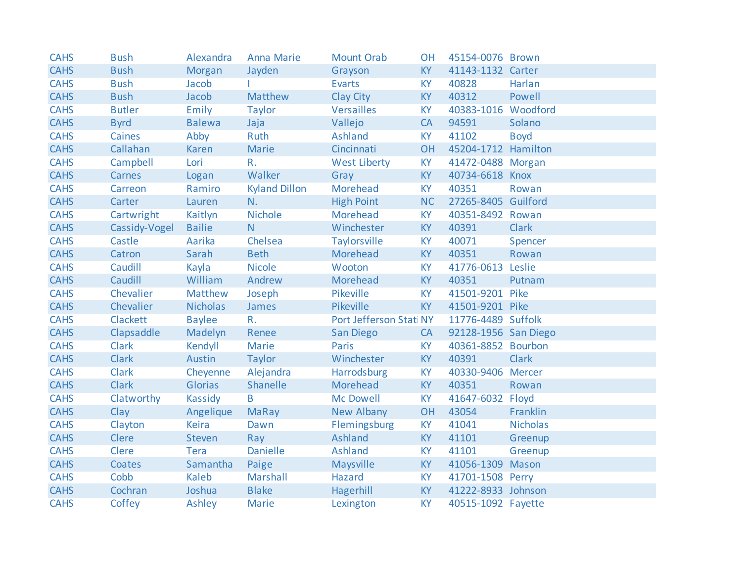| <b>CAHS</b> | <b>Bush</b>   | Alexandra       | <b>Anna Marie</b>    | <b>Mount Orab</b>       | <b>OH</b> | 45154-0076 Brown     |                 |
|-------------|---------------|-----------------|----------------------|-------------------------|-----------|----------------------|-----------------|
| <b>CAHS</b> | <b>Bush</b>   | Morgan          | Jayden               | Grayson                 | KY        | 41143-1132 Carter    |                 |
| <b>CAHS</b> | <b>Bush</b>   | Jacob           |                      | <b>Evarts</b>           | <b>KY</b> | 40828                | Harlan          |
| <b>CAHS</b> | <b>Bush</b>   | Jacob           | Matthew              | Clay City               | KY        | 40312                | Powell          |
| <b>CAHS</b> | <b>Butler</b> | Emily           | <b>Taylor</b>        | Versailles              | <b>KY</b> | 40383-1016 Woodford  |                 |
| <b>CAHS</b> | <b>Byrd</b>   | <b>Balewa</b>   | Jaja                 | Vallejo                 | CA        | 94591                | Solano          |
| <b>CAHS</b> | Caines        | Abby            | Ruth                 | Ashland                 | <b>KY</b> | 41102                | <b>Boyd</b>     |
| <b>CAHS</b> | Callahan      | <b>Karen</b>    | Marie                | Cincinnati              | OH        | 45204-1712 Hamilton  |                 |
| <b>CAHS</b> | Campbell      | Lori            | R.                   | <b>West Liberty</b>     | <b>KY</b> | 41472-0488 Morgan    |                 |
| <b>CAHS</b> | Carnes        | Logan           | Walker               | Gray                    | KY        | 40734-6618 Knox      |                 |
| <b>CAHS</b> | Carreon       | Ramiro          | <b>Kyland Dillon</b> | Morehead                | <b>KY</b> | 40351                | Rowan           |
| <b>CAHS</b> | Carter        | Lauren          | N.                   | <b>High Point</b>       | <b>NC</b> | 27265-8405 Guilford  |                 |
| <b>CAHS</b> | Cartwright    | Kaitlyn         | <b>Nichole</b>       | Morehead                | <b>KY</b> | 40351-8492 Rowan     |                 |
| <b>CAHS</b> | Cassidy-Vogel | <b>Bailie</b>   | N                    | Winchester              | KY        | 40391                | <b>Clark</b>    |
| <b>CAHS</b> | Castle        | Aarika          | Chelsea              | Taylorsville            | <b>KY</b> | 40071                | Spencer         |
| <b>CAHS</b> | Catron        | Sarah           | <b>Beth</b>          | Morehead                | <b>KY</b> | 40351                | Rowan           |
| <b>CAHS</b> | Caudill       | Kayla           | <b>Nicole</b>        | Wooton                  | <b>KY</b> | 41776-0613 Leslie    |                 |
| <b>CAHS</b> | Caudill       | William         | Andrew               | Morehead                | KY        | 40351                | Putnam          |
| <b>CAHS</b> | Chevalier     | Matthew         | Joseph               | Pikeville               | <b>KY</b> | 41501-9201 Pike      |                 |
| <b>CAHS</b> | Chevalier     | <b>Nicholas</b> | James                | Pikeville               | KY ·      | 41501-9201 Pike      |                 |
| <b>CAHS</b> | Clackett      | <b>Baylee</b>   | $R_{\star}$          | Port Jefferson Stati NY |           | 11776-4489 Suffolk   |                 |
| <b>CAHS</b> | Clapsaddle    | Madelyn         | Renee                | San Diego               | CA        | 92128-1956 San Diego |                 |
| <b>CAHS</b> | Clark         | Kendyll         | Marie                | <b>Paris</b>            | <b>KY</b> | 40361-8852 Bourbon   |                 |
| <b>CAHS</b> | <b>Clark</b>  | Austin          | Taylor               | Winchester              | KY        | 40391                | <b>Clark</b>    |
| <b>CAHS</b> | <b>Clark</b>  | Cheyenne        | Alejandra            | Harrodsburg             | <b>KY</b> | 40330-9406 Mercer    |                 |
| <b>CAHS</b> | <b>Clark</b>  | <b>Glorias</b>  | Shanelle             | Morehead                | <b>KY</b> | 40351                | Rowan           |
| <b>CAHS</b> | Clatworthy    | Kassidy         | B                    | Mc Dowell               | <b>KY</b> | 41647-6032 Floyd     |                 |
| <b>CAHS</b> | Clay          | Angelique       | <b>MaRay</b>         | New Albany              | OH        | 43054                | Franklin        |
| <b>CAHS</b> | Clayton       | Keira           | Dawn                 | Flemingsburg            | <b>KY</b> | 41041                | <b>Nicholas</b> |
| <b>CAHS</b> | <b>Clere</b>  | <b>Steven</b>   | Ray                  | Ashland                 | <b>KY</b> | 41101                | Greenup         |
| <b>CAHS</b> | Clere         | Tera            | <b>Danielle</b>      | Ashland                 | <b>KY</b> | 41101                | Greenup         |
| <b>CAHS</b> | Coates        | Samantha        | Paige                | Maysville               | KY        | 41056-1309 Mason     |                 |
| <b>CAHS</b> | Cobb          | Kaleb           | Marshall             | <b>Hazard</b>           | <b>KY</b> | 41701-1508 Perry     |                 |
| <b>CAHS</b> | Cochran       | Joshua          | <b>Blake</b>         | Hagerhill               | KY        | 41222-8933 Johnson   |                 |
| <b>CAHS</b> | Coffey        | Ashley          | Marie                | Lexington               | <b>KY</b> | 40515-1092 Fayette   |                 |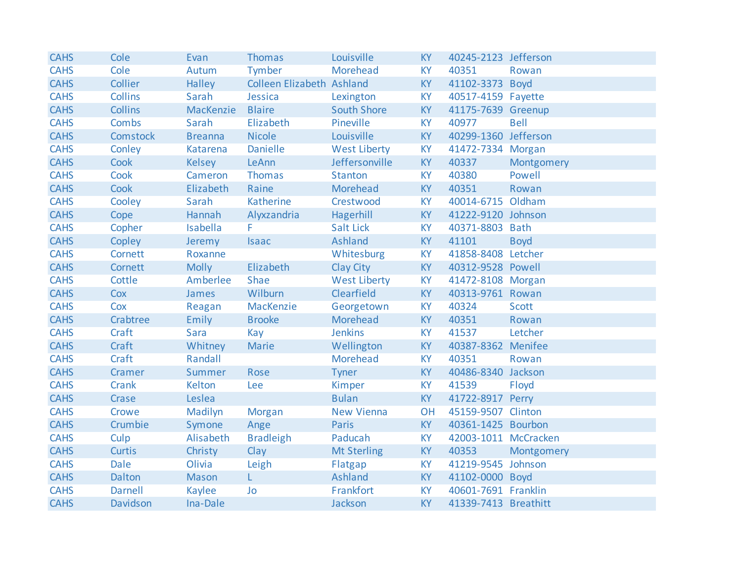| <b>CAHS</b> | Cole           | Evan           | <b>Thomas</b>             | Louisville          | <b>KY</b> | 40245-2123 Jefferson |              |
|-------------|----------------|----------------|---------------------------|---------------------|-----------|----------------------|--------------|
| <b>CAHS</b> | Cole           | Autum          | Tymber                    | <b>Morehead</b>     | <b>KY</b> | 40351                | Rowan        |
| <b>CAHS</b> | Collier        | Halley         | Colleen Elizabeth Ashland |                     | <b>KY</b> | 41102-3373 Boyd      |              |
| <b>CAHS</b> | <b>Collins</b> | Sarah          | Jessica                   | Lexington           | <b>KY</b> | 40517-4159 Fayette   |              |
| <b>CAHS</b> | <b>Collins</b> | MacKenzie      | <b>Blaire</b>             | <b>South Shore</b>  | KY        | 41175-7639 Greenup   |              |
| <b>CAHS</b> | Combs          | Sarah          | Elizabeth                 | Pineville           | <b>KY</b> | 40977                | <b>Bell</b>  |
| <b>CAHS</b> | Comstock       | <b>Breanna</b> | <b>Nicole</b>             | Louisville          | <b>KY</b> | 40299-1360 Jefferson |              |
| <b>CAHS</b> | Conley         | Katarena       | <b>Danielle</b>           | <b>West Liberty</b> | <b>KY</b> | 41472-7334 Morgan    |              |
| <b>CAHS</b> | Cook           | <b>Kelsey</b>  | LeAnn                     | Jeffersonville      | KY        | 40337                | Montgomery   |
| <b>CAHS</b> | Cook           | Cameron        | <b>Thomas</b>             | <b>Stanton</b>      | <b>KY</b> | 40380                | Powell       |
| <b>CAHS</b> | Cook           | Elizabeth      | Raine                     | Morehead            | <b>KY</b> | 40351                | Rowan        |
| <b>CAHS</b> | Cooley         | Sarah          | Katherine                 | Crestwood           | <b>KY</b> | 40014-6715 Oldham    |              |
| <b>CAHS</b> | Cope           | Hannah         | Alyxzandria               | Hagerhill           | KY        | 41222-9120 Johnson   |              |
| <b>CAHS</b> | Copher         | Isabella       | F.                        | Salt Lick           | <b>KY</b> | 40371-8803 Bath      |              |
| <b>CAHS</b> | Copley         | Jeremy         | <b>Isaac</b>              | Ashland             | <b>KY</b> | 41101                | <b>Boyd</b>  |
| <b>CAHS</b> | Cornett        | Roxanne        |                           | Whitesburg          | <b>KY</b> | 41858-8408 Letcher   |              |
| <b>CAHS</b> | Cornett        | <b>Molly</b>   | Elizabeth                 | Clay City           | KY        | 40312-9528 Powell    |              |
| <b>CAHS</b> | Cottle         | Amberlee       | Shae                      | <b>West Liberty</b> | <b>KY</b> | 41472-8108 Morgan    |              |
| <b>CAHS</b> | Cox            | James          | Wilburn                   | Clearfield          | <b>KY</b> | 40313-9761 Rowan     |              |
| <b>CAHS</b> | Cox            | Reagan         | MacKenzie                 | Georgetown          | <b>KY</b> | 40324                | <b>Scott</b> |
| <b>CAHS</b> | Crabtree       | Emily          | <b>Brooke</b>             | Morehead            | <b>KY</b> | 40351                | Rowan        |
| <b>CAHS</b> | Craft          | Sara           | Kay                       | <b>Jenkins</b>      | <b>KY</b> | 41537                | Letcher      |
| <b>CAHS</b> | Craft          | Whitney        | Marie                     | Wellington          | <b>KY</b> | 40387-8362 Menifee   |              |
| <b>CAHS</b> | Craft          | Randall        |                           | Morehead            | KY        | 40351                | Rowan        |
| <b>CAHS</b> | Cramer         | Summer         | Rose                      | Tyner               | <b>KY</b> | 40486-8340 Jackson   |              |
| <b>CAHS</b> | Crank          | Kelton         | Lee                       | Kimper              | KY        | 41539                | Floyd        |
| <b>CAHS</b> | Crase          | Leslea         |                           | <b>Bulan</b>        | KY        | 41722-8917 Perry     |              |
| <b>CAHS</b> | Crowe          | Madilyn        | Morgan                    | <b>New Vienna</b>   | <b>OH</b> | 45159-9507 Clinton   |              |
| <b>CAHS</b> | Crumbie        | Symone         | Ange                      | <b>Paris</b>        | <b>KY</b> | 40361-1425 Bourbon   |              |
| <b>CAHS</b> | Culp           | Alisabeth      | <b>Bradleigh</b>          | Paducah             | <b>KY</b> | 42003-1011 McCracken |              |
| <b>CAHS</b> | <b>Curtis</b>  | Christy        | Clay                      | <b>Mt Sterling</b>  | <b>KY</b> | 40353                | Montgomery   |
| <b>CAHS</b> | <b>Dale</b>    | Olivia         | Leigh                     | Flatgap             | <b>KY</b> | 41219-9545 Johnson   |              |
| <b>CAHS</b> | Dalton         | Mason          | L                         | Ashland             | KY        | 41102-0000 Boyd      |              |
| <b>CAHS</b> | <b>Darnell</b> | Kaylee         | Jo                        | Frankfort           | <b>KY</b> | 40601-7691 Franklin  |              |
| <b>CAHS</b> | Davidson       | Ina-Dale       |                           | Jackson             | <b>KY</b> | 41339-7413 Breathitt |              |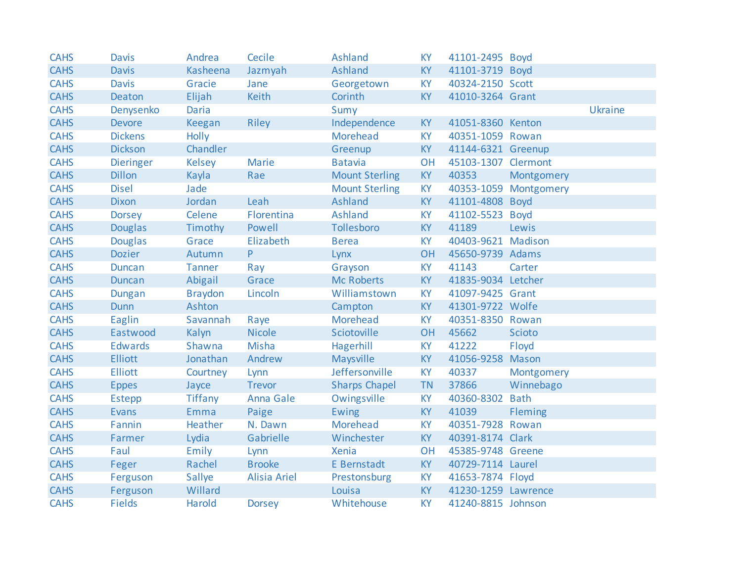| <b>CAHS</b> | <b>Davis</b>     | Andrea         | Cecile              | <b>Ashland</b>        | <b>KY</b> | 41101-2495 Boyd     |                       |         |
|-------------|------------------|----------------|---------------------|-----------------------|-----------|---------------------|-----------------------|---------|
| <b>CAHS</b> | <b>Davis</b>     | Kasheena       | Jazmyah             | Ashland               | <b>KY</b> | 41101-3719 Boyd     |                       |         |
| <b>CAHS</b> | <b>Davis</b>     | Gracie         | Jane                | Georgetown            | <b>KY</b> | 40324-2150 Scott    |                       |         |
| <b>CAHS</b> | Deaton           | Elijah         | Keith               | Corinth               | <b>KY</b> | 41010-3264 Grant    |                       |         |
| <b>CAHS</b> | Denysenko        | <b>Daria</b>   |                     | Sumy                  |           |                     |                       | Ukraine |
| <b>CAHS</b> | <b>Devore</b>    | Keegan         | <b>Riley</b>        | Independence          | <b>KY</b> | 41051-8360 Kenton   |                       |         |
| <b>CAHS</b> | <b>Dickens</b>   | Holly          |                     | Morehead              | <b>KY</b> | 40351-1059 Rowan    |                       |         |
| <b>CAHS</b> | <b>Dickson</b>   | Chandler       |                     | Greenup               | <b>KY</b> | 41144-6321 Greenup  |                       |         |
| <b>CAHS</b> | <b>Dieringer</b> | <b>Kelsey</b>  | <b>Marie</b>        | <b>Batavia</b>        | OH        | 45103-1307 Clermont |                       |         |
| <b>CAHS</b> | <b>Dillon</b>    | Kayla          | Rae                 | <b>Mount Sterling</b> | <b>KY</b> | 40353               | Montgomery            |         |
| <b>CAHS</b> | <b>Disel</b>     | Jade           |                     | <b>Mount Sterling</b> | <b>KY</b> |                     | 40353-1059 Montgomery |         |
| <b>CAHS</b> | <b>Dixon</b>     | Jordan         | Leah                | <b>Ashland</b>        | KY        | 41101-4808 Boyd     |                       |         |
| <b>CAHS</b> | <b>Dorsey</b>    | Celene         | Florentina          | <b>Ashland</b>        | <b>KY</b> | 41102-5523 Boyd     |                       |         |
| <b>CAHS</b> | <b>Douglas</b>   | Timothy        | Powell              | Tollesboro            | KY        | 41189               | Lewis                 |         |
| <b>CAHS</b> | <b>Douglas</b>   | Grace          | Elizabeth           | <b>Berea</b>          | <b>KY</b> | 40403-9621 Madison  |                       |         |
| <b>CAHS</b> | <b>Dozier</b>    | Autumn         | P.                  | Lynx                  | <b>OH</b> | 45650-9739 Adams    |                       |         |
| <b>CAHS</b> | <b>Duncan</b>    | <b>Tanner</b>  | Ray                 | Grayson               | <b>KY</b> | 41143               | Carter                |         |
| <b>CAHS</b> | <b>Duncan</b>    | Abigail        | Grace               | <b>Mc Roberts</b>     | <b>KY</b> | 41835-9034 Letcher  |                       |         |
| <b>CAHS</b> | Dungan           | <b>Braydon</b> | Lincoln             | Williamstown          | <b>KY</b> | 41097-9425 Grant    |                       |         |
| <b>CAHS</b> | <b>Dunn</b>      | Ashton         |                     | Campton               | KY        | 41301-9722 Wolfe    |                       |         |
| <b>CAHS</b> | Eaglin           | Savannah       | Raye                | Morehead              | <b>KY</b> | 40351-8350 Rowan    |                       |         |
| <b>CAHS</b> | Eastwood         | Kalyn          | <b>Nicole</b>       | Sciotoville           | OH        | 45662               | Scioto                |         |
| <b>CAHS</b> | <b>Edwards</b>   | Shawna         | <b>Misha</b>        | Hagerhill             | <b>KY</b> | 41222               | Floyd                 |         |
| <b>CAHS</b> | <b>Elliott</b>   | Jonathan       | Andrew              | Maysville             | <b>KY</b> | 41056-9258 Mason    |                       |         |
| <b>CAHS</b> | <b>Elliott</b>   | Courtney       | Lynn                | Jeffersonville        | <b>KY</b> | 40337               | Montgomery            |         |
| <b>CAHS</b> | <b>Eppes</b>     | Jayce          | <b>Trevor</b>       | <b>Sharps Chapel</b>  | <b>TN</b> | 37866               | Winnebago             |         |
| <b>CAHS</b> | <b>Estepp</b>    | <b>Tiffany</b> | <b>Anna Gale</b>    | Owingsville           | <b>KY</b> | 40360-8302 Bath     |                       |         |
| <b>CAHS</b> | Evans            | Emma           | Paige               | <b>Ewing</b>          | KY        | 41039               | Fleming               |         |
| <b>CAHS</b> | Fannin           | Heather        | N. Dawn             | Morehead              | KY        | 40351-7928 Rowan    |                       |         |
| <b>CAHS</b> | Farmer           | Lydia          | Gabrielle           | Winchester            | <b>KY</b> | 40391-8174 Clark    |                       |         |
| <b>CAHS</b> | Faul             | Emily          | Lynn                | <b>Xenia</b>          | OH        | 45385-9748 Greene   |                       |         |
| <b>CAHS</b> | Feger            | Rachel         | <b>Brooke</b>       | E Bernstadt           | KY        | 40729-7114 Laurel   |                       |         |
| <b>CAHS</b> | Ferguson         | Sallye         | <b>Alisia Ariel</b> | Prestonsburg          | <b>KY</b> | 41653-7874 Floyd    |                       |         |
| <b>CAHS</b> | Ferguson         | Willard        |                     | Louisa                | KY        | 41230-1259 Lawrence |                       |         |
| <b>CAHS</b> | <b>Fields</b>    | Harold         | <b>Dorsey</b>       | Whitehouse            | <b>KY</b> | 41240-8815 Johnson  |                       |         |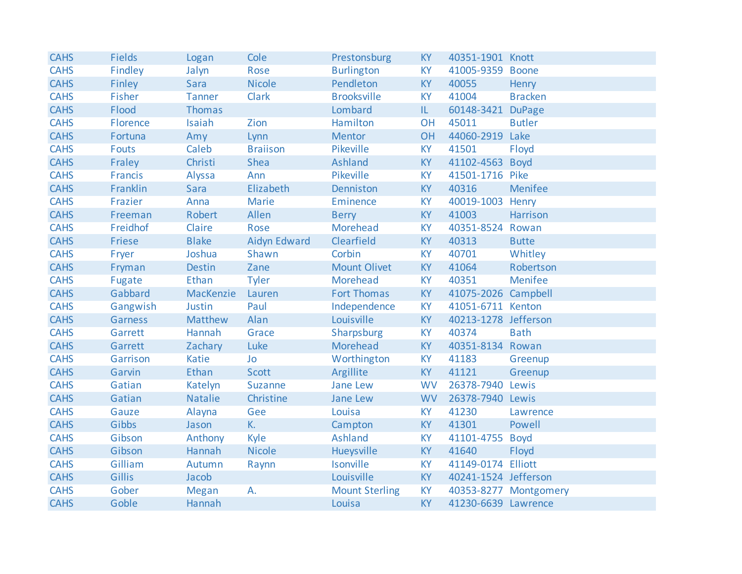| <b>CAHS</b> | <b>Fields</b> | Logan          | Cole                | Prestonsburg          | <b>KY</b> | 40351-1901 Knott     |                       |
|-------------|---------------|----------------|---------------------|-----------------------|-----------|----------------------|-----------------------|
| <b>CAHS</b> | Findley       | Jalyn          | Rose                | <b>Burlington</b>     | <b>KY</b> | 41005-9359 Boone     |                       |
| <b>CAHS</b> | Finley        | Sara           | <b>Nicole</b>       | Pendleton             | <b>KY</b> | 40055                | Henry                 |
| <b>CAHS</b> | Fisher        | <b>Tanner</b>  | Clark               | <b>Brooksville</b>    | <b>KY</b> | 41004                | <b>Bracken</b>        |
| <b>CAHS</b> | Flood         | Thomas         |                     | Lombard               | IL.       | 60148-3421 DuPage    |                       |
| <b>CAHS</b> | Florence      | Isaiah         | Zion                | Hamilton              | <b>OH</b> | 45011                | <b>Butler</b>         |
| <b>CAHS</b> | Fortuna       | Amy            | Lynn                | <b>Mentor</b>         | OH        | 44060-2919 Lake      |                       |
| <b>CAHS</b> | <b>Fouts</b>  | Caleb          | <b>Braiison</b>     | Pikeville             | <b>KY</b> | 41501                | Floyd                 |
| <b>CAHS</b> | Fraley        | Christi        | Shea                | <b>Ashland</b>        | KY        | 41102-4563           | <b>Boyd</b>           |
| <b>CAHS</b> | Francis       | Alyssa         | Ann                 | Pikeville             | <b>KY</b> | 41501-1716 Pike      |                       |
| <b>CAHS</b> | Franklin      | Sara           | Elizabeth           | Denniston             | <b>KY</b> | 40316                | Menifee               |
| <b>CAHS</b> | Frazier       | Anna           | <b>Marie</b>        | Eminence              | KY        | 40019-1003 Henry     |                       |
| <b>CAHS</b> | Freeman       | Robert         | Allen               | <b>Berry</b>          | <b>KY</b> | 41003                | Harrison              |
| <b>CAHS</b> | Freidhof      | Claire         | Rose                | Morehead              | <b>KY</b> | 40351-8524 Rowan     |                       |
| <b>CAHS</b> | Friese        | <b>Blake</b>   | <b>Aidyn Edward</b> | Clearfield            | <b>KY</b> | 40313                | <b>Butte</b>          |
| <b>CAHS</b> | Fryer         | Joshua         | Shawn               | Corbin                | <b>KY</b> | 40701                | Whitley               |
| <b>CAHS</b> | Fryman        | <b>Destin</b>  | Zane                | <b>Mount Olivet</b>   | <b>KY</b> | 41064                | Robertson             |
| <b>CAHS</b> | Fugate        | Ethan          | <b>Tyler</b>        | Morehead              | <b>KY</b> | 40351                | Menifee               |
| <b>CAHS</b> | Gabbard       | MacKenzie      | Lauren              | <b>Fort Thomas</b>    | <b>KY</b> | 41075-2026 Campbell  |                       |
| <b>CAHS</b> | Gangwish      | Justin         | Paul                | Independence          | <b>KY</b> | 41051-6711 Kenton    |                       |
| <b>CAHS</b> | Garness       | Matthew        | Alan                | Louisville            | <b>KY</b> | 40213-1278 Jefferson |                       |
| <b>CAHS</b> | Garrett       | Hannah         | Grace               | Sharpsburg            | <b>KY</b> | 40374                | <b>Bath</b>           |
| <b>CAHS</b> | Garrett       | Zachary        | Luke                | Morehead              | <b>KY</b> | 40351-8134 Rowan     |                       |
| <b>CAHS</b> | Garrison      | <b>Katie</b>   | Jo                  | Worthington           | <b>KY</b> | 41183                | Greenup               |
| <b>CAHS</b> | Garvin        | Ethan          | <b>Scott</b>        | Argillite             | <b>KY</b> | 41121                | Greenup               |
| <b>CAHS</b> | Gatian        | Katelyn        | Suzanne             | Jane Lew              | <b>WV</b> | 26378-7940 Lewis     |                       |
| <b>CAHS</b> | Gatian        | <b>Natalie</b> | Christine           | Jane Lew              | <b>WV</b> | 26378-7940 Lewis     |                       |
| <b>CAHS</b> | Gauze         | Alayna         | Gee                 | Louisa                | <b>KY</b> | 41230                | Lawrence              |
| <b>CAHS</b> | Gibbs         | Jason          | K.                  | Campton               | <b>KY</b> | 41301                | Powell                |
| <b>CAHS</b> | Gibson        | Anthony        | Kyle                | <b>Ashland</b>        | <b>KY</b> | 41101-4755           | <b>Boyd</b>           |
| <b>CAHS</b> | Gibson        | Hannah         | <b>Nicole</b>       | Hueysville            | <b>KY</b> | 41640                | Floyd                 |
| <b>CAHS</b> | Gilliam       | Autumn         | Raynn               | Isonville             | <b>KY</b> | 41149-0174 Elliott   |                       |
| <b>CAHS</b> | Gillis        | Jacob          |                     | Louisville            | <b>KY</b> | 40241-1524 Jefferson |                       |
| <b>CAHS</b> | Gober         | <b>Megan</b>   | А.                  | <b>Mount Sterling</b> | <b>KY</b> |                      | 40353-8277 Montgomery |
| <b>CAHS</b> | Goble         | Hannah         |                     | Louisa                | <b>KY</b> | 41230-6639 Lawrence  |                       |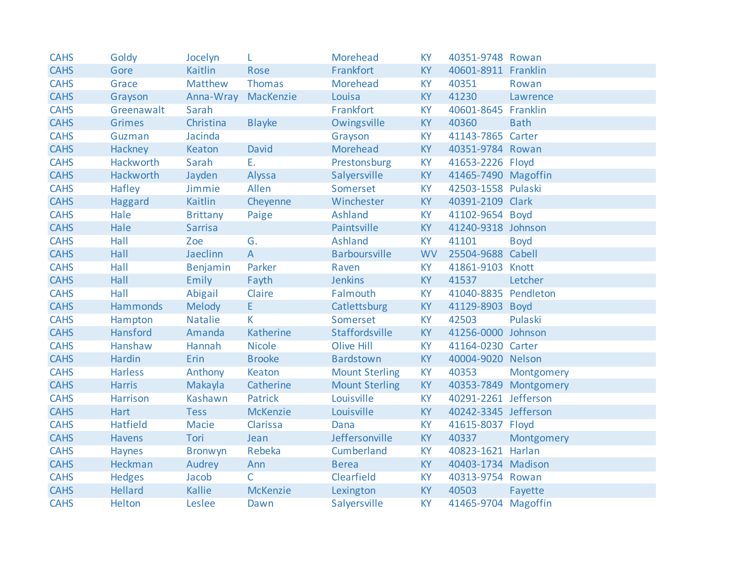| <b>CAHS</b> | Goldy            | Jocelyn             | L               | Morehead              | <b>KY</b> | 40351-9748 Rowan     |                       |
|-------------|------------------|---------------------|-----------------|-----------------------|-----------|----------------------|-----------------------|
| <b>CAHS</b> | Gore             | <b>Kaitlin</b>      | Rose            | Frankfort             | <b>KY</b> | 40601-8911 Franklin  |                       |
| <b>CAHS</b> | Grace            | Matthew             | Thomas          | Morehead              | <b>KY</b> | 40351                | Rowan                 |
| <b>CAHS</b> | Grayson          | Anna-Wray MacKenzie |                 | Louisa                | <b>KY</b> | 41230                | Lawrence              |
| <b>CAHS</b> | Greenawalt       | Sarah               |                 | Frankfort             | <b>KY</b> | 40601-8645 Franklin  |                       |
| <b>CAHS</b> | <b>Grimes</b>    | Christina           | <b>Blayke</b>   | Owingsville           | <b>KY</b> | 40360                | <b>Bath</b>           |
| <b>CAHS</b> | Guzman           | Jacinda             |                 | Grayson               | <b>KY</b> | 41143-7865 Carter    |                       |
| <b>CAHS</b> | Hackney          | Keaton              | David           | Morehead              | <b>KY</b> | 40351-9784 Rowan     |                       |
| <b>CAHS</b> | Hackworth        | Sarah               | Ε.              | Prestonsburg          | <b>KY</b> | 41653-2226 Floyd     |                       |
| <b>CAHS</b> | <b>Hackworth</b> | Jayden              | Alyssa          | Salyersville          | KY        | 41465-7490 Magoffin  |                       |
| <b>CAHS</b> | Hafley           | Jimmie              | Allen           | Somerset              | <b>KY</b> | 42503-1558 Pulaski   |                       |
| <b>CAHS</b> | Haggard          | Kaitlin             | Cheyenne        | Winchester            | <b>KY</b> | 40391-2109 Clark     |                       |
| <b>CAHS</b> | Hale             | <b>Brittany</b>     | Paige           | <b>Ashland</b>        | <b>KY</b> | 41102-9654 Boyd      |                       |
| <b>CAHS</b> | Hale             | <b>Sarrisa</b>      |                 | Paintsville           | KY        | 41240-9318 Johnson   |                       |
| <b>CAHS</b> | Hall             | Zoe                 | G.              | <b>Ashland</b>        | <b>KY</b> | 41101                | <b>Boyd</b>           |
| <b>CAHS</b> | Hall             | Jaeclinn            | $\mathsf{A}$    | <b>Barboursville</b>  | <b>WV</b> | 25504-9688 Cabell    |                       |
| <b>CAHS</b> | Hall             | Benjamin            | Parker          | Raven                 | <b>KY</b> | 41861-9103 Knott     |                       |
| <b>CAHS</b> | Hall             | Emily               | Fayth           | <b>Jenkins</b>        | <b>KY</b> | 41537                | Letcher               |
| <b>CAHS</b> | Hall             | Abigail             | Claire          | Falmouth              | <b>KY</b> | 41040-8835 Pendleton |                       |
| <b>CAHS</b> | Hammonds         | Melody              | E               | Catlettsburg          | KY        | 41129-8903 Boyd      |                       |
| <b>CAHS</b> | Hampton          | <b>Natalie</b>      | K               | Somerset              | <b>KY</b> | 42503                | Pulaski               |
| <b>CAHS</b> | Hansford         | Amanda              | Katherine       | Staffordsville        | <b>KY</b> | 41256-0000 Johnson   |                       |
| <b>CAHS</b> | Hanshaw          | Hannah              | <b>Nicole</b>   | <b>Olive Hill</b>     | <b>KY</b> | 41164-0230 Carter    |                       |
| <b>CAHS</b> | Hardin           | Erin                | <b>Brooke</b>   | <b>Bardstown</b>      | <b>KY</b> | 40004-9020 Nelson    |                       |
| <b>CAHS</b> | Harless          | Anthony             | Keaton          | <b>Mount Sterling</b> | <b>KY</b> | 40353                | Montgomery            |
| <b>CAHS</b> | <b>Harris</b>    | Makayla             | Catherine       | <b>Mount Sterling</b> | <b>KY</b> |                      | 40353-7849 Montgomery |
| <b>CAHS</b> | Harrison         | Kashawn             | Patrick         | Louisville            | <b>KY</b> | 40291-2261 Jefferson |                       |
| <b>CAHS</b> | <b>Hart</b>      | <b>Tess</b>         | <b>McKenzie</b> | Louisville            | KY        | 40242-3345 Jefferson |                       |
| <b>CAHS</b> | Hatfield         | Macie               | Clarissa        | Dana                  | <b>KY</b> | 41615-8037 Floyd     |                       |
| <b>CAHS</b> | <b>Havens</b>    | Tori                | Jean            | Jeffersonville        | <b>KY</b> | 40337                | Montgomery            |
| <b>CAHS</b> | Haynes           | Bronwyn             | Rebeka          | Cumberland            | <b>KY</b> | 40823-1621 Harlan    |                       |
| <b>CAHS</b> | Heckman          | Audrey              | Ann             | <b>Berea</b>          | KY        | 40403-1734 Madison   |                       |
| <b>CAHS</b> | <b>Hedges</b>    | Jacob               | $\mathsf{C}$    | Clearfield            | <b>KY</b> | 40313-9754 Rowan     |                       |
| <b>CAHS</b> | Hellard          | Kallie              | <b>McKenzie</b> | Lexington             | <b>KY</b> | 40503                | Fayette               |
| <b>CAHS</b> | Helton           | Leslee              | Dawn            | Salyersville          | <b>KY</b> | 41465-9704 Magoffin  |                       |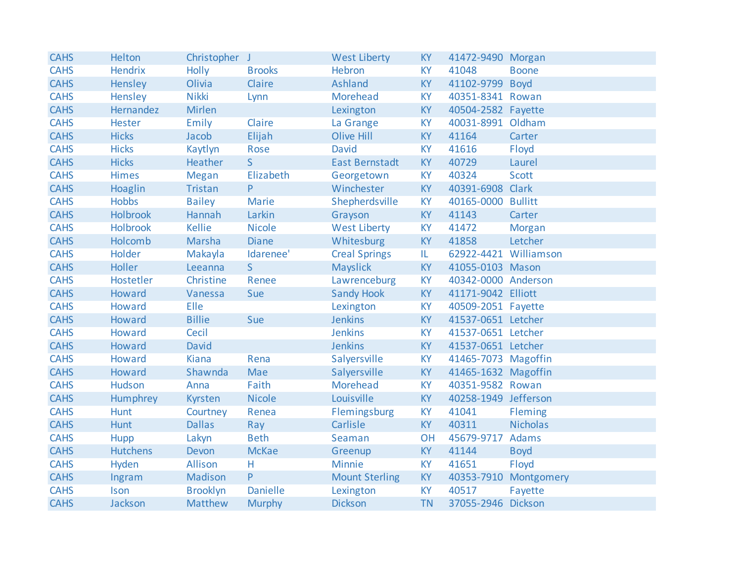| <b>CAHS</b> | Helton          | Christopher J   |                 | <b>West Liberty</b>   | <b>KY</b> | 41472-9490 Morgan     |                       |
|-------------|-----------------|-----------------|-----------------|-----------------------|-----------|-----------------------|-----------------------|
| <b>CAHS</b> | <b>Hendrix</b>  | Holly           | <b>Brooks</b>   | <b>Hebron</b>         | <b>KY</b> | 41048                 | <b>Boone</b>          |
| <b>CAHS</b> | Hensley         | Olivia          | Claire          | <b>Ashland</b>        | <b>KY</b> | 41102-9799            | <b>Boyd</b>           |
| <b>CAHS</b> | Hensley         | <b>Nikki</b>    | Lynn            | Morehead              | <b>KY</b> | 40351-8341 Rowan      |                       |
| <b>CAHS</b> | Hernandez       | Mirlen          |                 | Lexington             | <b>KY</b> | 40504-2582 Fayette    |                       |
| <b>CAHS</b> | Hester          | Emily           | Claire          | La Grange             | <b>KY</b> | 40031-8991 Oldham     |                       |
| <b>CAHS</b> | <b>Hicks</b>    | Jacob           | Elijah          | <b>Olive Hill</b>     | <b>KY</b> | 41164                 | Carter                |
| <b>CAHS</b> | <b>Hicks</b>    | Kaytlyn         | Rose            | David                 | <b>KY</b> | 41616                 | Floyd                 |
| <b>CAHS</b> | <b>Hicks</b>    | Heather         | S               | <b>East Bernstadt</b> | KY        | 40729                 | Laurel                |
| <b>CAHS</b> | Himes           | Megan           | Elizabeth       | Georgetown            | <b>KY</b> | 40324                 | <b>Scott</b>          |
| <b>CAHS</b> | Hoaglin         | Tristan         | P               | Winchester            | KY        | 40391-6908 Clark      |                       |
| <b>CAHS</b> | <b>Hobbs</b>    | <b>Bailey</b>   | <b>Marie</b>    | Shepherdsville        | <b>KY</b> | 40165-0000 Bullitt    |                       |
| <b>CAHS</b> | <b>Holbrook</b> | Hannah          | Larkin          | Grayson               | <b>KY</b> | 41143                 | Carter                |
| <b>CAHS</b> | <b>Holbrook</b> | <b>Kellie</b>   | <b>Nicole</b>   | <b>West Liberty</b>   | <b>KY</b> | 41472                 | Morgan                |
| <b>CAHS</b> | Holcomb         | Marsha          | <b>Diane</b>    | Whitesburg            | <b>KY</b> | 41858                 | Letcher               |
| <b>CAHS</b> | Holder          | Makayla         | Idarenee'       | <b>Creal Springs</b>  | IL.       | 62922-4421 Williamson |                       |
| <b>CAHS</b> | Holler          | Leeanna         | S               | <b>Mayslick</b>       | <b>KY</b> | 41055-0103 Mason      |                       |
| <b>CAHS</b> | Hostetler       | Christine       | Renee           | Lawrenceburg          | <b>KY</b> | 40342-0000 Anderson   |                       |
| <b>CAHS</b> | Howard          | Vanessa         | Sue             | <b>Sandy Hook</b>     | <b>KY</b> | 41171-9042 Elliott    |                       |
| <b>CAHS</b> | Howard          | Elle            |                 | Lexington             | <b>KY</b> | 40509-2051 Fayette    |                       |
| <b>CAHS</b> | Howard          | <b>Billie</b>   | Sue             | <b>Jenkins</b>        | <b>KY</b> | 41537-0651 Letcher    |                       |
| <b>CAHS</b> | Howard          | Cecil           |                 | <b>Jenkins</b>        | <b>KY</b> | 41537-0651 Letcher    |                       |
| <b>CAHS</b> | Howard          | David           |                 | <b>Jenkins</b>        | <b>KY</b> | 41537-0651 Letcher    |                       |
| <b>CAHS</b> | Howard          | <b>Kiana</b>    | Rena            | Salyersville          | <b>KY</b> | 41465-7073 Magoffin   |                       |
| <b>CAHS</b> | Howard          | Shawnda         | Mae             | Salyersville          | <b>KY</b> | 41465-1632 Magoffin   |                       |
| <b>CAHS</b> | Hudson          | Anna            | Faith           | Morehead              | <b>KY</b> | 40351-9582 Rowan      |                       |
| <b>CAHS</b> | Humphrey        | Kyrsten         | <b>Nicole</b>   | Louisville            | <b>KY</b> | 40258-1949 Jefferson  |                       |
| <b>CAHS</b> | Hunt            | Courtney        | Renea           | Flemingsburg          | <b>KY</b> | 41041                 | <b>Fleming</b>        |
| <b>CAHS</b> | Hunt            | <b>Dallas</b>   | Ray             | Carlisle              | <b>KY</b> | 40311                 | <b>Nicholas</b>       |
| <b>CAHS</b> | Hupp            | Lakyn           | <b>Beth</b>     | Seaman                | <b>OH</b> | 45679-9717            | Adams                 |
| <b>CAHS</b> | <b>Hutchens</b> | Devon           | <b>McKae</b>    | Greenup               | <b>KY</b> | 41144                 | <b>Boyd</b>           |
| <b>CAHS</b> | Hyden           | Allison         | H               | <b>Minnie</b>         | <b>KY</b> | 41651                 | Floyd                 |
| <b>CAHS</b> | Ingram          | Madison         | P               | <b>Mount Sterling</b> | <b>KY</b> |                       | 40353-7910 Montgomery |
| <b>CAHS</b> | Ison            | <b>Brooklyn</b> | <b>Danielle</b> | Lexington             | <b>KY</b> | 40517                 | Fayette               |
| <b>CAHS</b> | Jackson         | <b>Matthew</b>  | <b>Murphy</b>   | <b>Dickson</b>        | <b>TN</b> | 37055-2946 Dickson    |                       |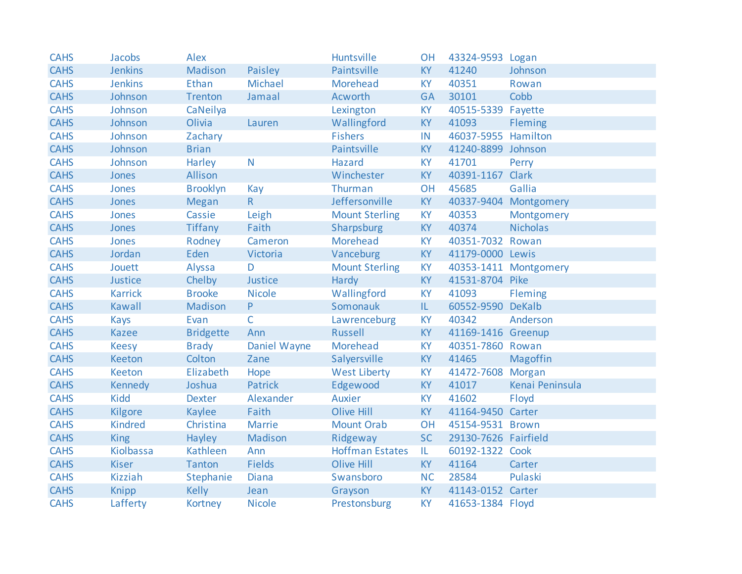| <b>CAHS</b> | Jacobs         | Alex             |                | Huntsville             | <b>OH</b> | 43324-9593 Logan     |                       |
|-------------|----------------|------------------|----------------|------------------------|-----------|----------------------|-----------------------|
| <b>CAHS</b> | <b>Jenkins</b> | Madison          | Paisley        | Paintsville            | <b>KY</b> | 41240                | Johnson               |
| <b>CAHS</b> | <b>Jenkins</b> | Ethan            | Michael        | Morehead               | <b>KY</b> | 40351                | Rowan                 |
| <b>CAHS</b> | Johnson        | Trenton          | Jamaal         | Acworth                | <b>GA</b> | 30101                | Cobb                  |
| <b>CAHS</b> | Johnson        | CaNeilya         |                | Lexington              | <b>KY</b> | 40515-5339 Fayette   |                       |
| <b>CAHS</b> | Johnson        | Olivia           | Lauren         | Wallingford            | KY        | 41093                | Fleming               |
| <b>CAHS</b> | Johnson        | Zachary          |                | <b>Fishers</b>         | IN        | 46037-5955 Hamilton  |                       |
| <b>CAHS</b> | Johnson        | <b>Brian</b>     |                | Paintsville            | <b>KY</b> | 41240-8899 Johnson   |                       |
| <b>CAHS</b> | Johnson        | Harley           | N              | <b>Hazard</b>          | KY        | 41701                | Perry                 |
| <b>CAHS</b> | Jones          | Allison          |                | Winchester             | <b>KY</b> | 40391-1167           | <b>Clark</b>          |
| <b>CAHS</b> | Jones          | <b>Brooklyn</b>  | Kay            | Thurman                | OH        | 45685                | Gallia                |
| <b>CAHS</b> | Jones          | <b>Megan</b>     | R              | Jeffersonville         | <b>KY</b> |                      | 40337-9404 Montgomery |
| <b>CAHS</b> | Jones          | Cassie           | Leigh          | <b>Mount Sterling</b>  | <b>KY</b> | 40353                | Montgomery            |
| <b>CAHS</b> | Jones          | <b>Tiffany</b>   | Faith          | Sharpsburg             | <b>KY</b> | 40374                | <b>Nicholas</b>       |
| <b>CAHS</b> | Jones          | Rodney           | Cameron        | Morehead               | <b>KY</b> | 40351-7032 Rowan     |                       |
| <b>CAHS</b> | Jordan         | Eden             | Victoria       | Vanceburg              | <b>KY</b> | 41179-0000 Lewis     |                       |
| <b>CAHS</b> | Jouett         | Alyssa           | D              | <b>Mount Sterling</b>  | <b>KY</b> |                      | 40353-1411 Montgomery |
| <b>CAHS</b> | Justice        | Chelby           | Justice        | Hardy                  | <b>KY</b> | 41531-8704 Pike      |                       |
| <b>CAHS</b> | <b>Karrick</b> | <b>Brooke</b>    | <b>Nicole</b>  | Wallingford            | <b>KY</b> | 41093                | Fleming               |
| <b>CAHS</b> | <b>Kawall</b>  | Madison          | P              | Somonauk               | IL.       | 60552-9590 DeKalb    |                       |
| <b>CAHS</b> | Kays           | Evan             | $\mathsf{C}$   | Lawrenceburg           | <b>KY</b> | 40342                | Anderson              |
| <b>CAHS</b> | <b>Kazee</b>   | <b>Bridgette</b> | Ann            | <b>Russell</b>         | <b>KY</b> | 41169-1416 Greenup   |                       |
| <b>CAHS</b> | <b>Keesy</b>   | <b>Brady</b>     | Daniel Wayne   | Morehead               | KY        | 40351-7860 Rowan     |                       |
| <b>CAHS</b> | Keeton         | Colton           | Zane           | Salyersville           | KY        | 41465                | <b>Magoffin</b>       |
| <b>CAHS</b> | Keeton         | Elizabeth        | Hope           | <b>West Liberty</b>    | KY        | 41472-7608 Morgan    |                       |
| <b>CAHS</b> | Kennedy        | Joshua           | <b>Patrick</b> | Edgewood               | <b>KY</b> | 41017                | Kenai Peninsula       |
| <b>CAHS</b> | <b>Kidd</b>    | <b>Dexter</b>    | Alexander      | <b>Auxier</b>          | <b>KY</b> | 41602                | Floyd                 |
| <b>CAHS</b> | Kilgore        | Kaylee           | Faith          | <b>Olive Hill</b>      | <b>KY</b> | 41164-9450 Carter    |                       |
| <b>CAHS</b> | <b>Kindred</b> | Christina        | <b>Marrie</b>  | <b>Mount Orab</b>      | OH        | 45154-9531 Brown     |                       |
| <b>CAHS</b> | <b>King</b>    | Hayley           | Madison        | Ridgeway               | <b>SC</b> | 29130-7626 Fairfield |                       |
| <b>CAHS</b> | Kiolbassa      | Kathleen         | Ann            | <b>Hoffman Estates</b> | IL.       | 60192-1322 Cook      |                       |
| <b>CAHS</b> | <b>Kiser</b>   | <b>Tanton</b>    | <b>Fields</b>  | <b>Olive Hill</b>      | <b>KY</b> | 41164                | Carter                |
| <b>CAHS</b> | <b>Kizziah</b> | Stephanie        | Diana          | Swansboro              | <b>NC</b> | 28584                | Pulaski               |
| <b>CAHS</b> | <b>Knipp</b>   | <b>Kelly</b>     | Jean           | Grayson                | KY        | 41143-0152 Carter    |                       |
| <b>CAHS</b> | Lafferty       | Kortney          | <b>Nicole</b>  | Prestonsburg           | <b>KY</b> | 41653-1384 Floyd     |                       |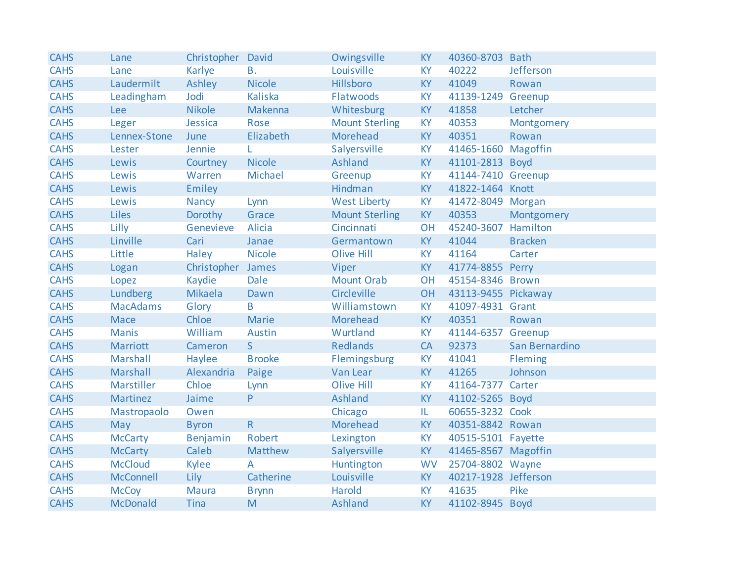| <b>CAHS</b> | Lane            | Christopher David |                | Owingsville           | <b>KY</b> | 40360-8703 Bath      |                |
|-------------|-----------------|-------------------|----------------|-----------------------|-----------|----------------------|----------------|
| <b>CAHS</b> | Lane            | Karlye            | <b>B.</b>      | Louisville            | <b>KY</b> | 40222                | Jefferson      |
| <b>CAHS</b> | Laudermilt      | Ashley            | <b>Nicole</b>  | Hillsboro             | <b>KY</b> | 41049                | Rowan          |
| <b>CAHS</b> | Leadingham      | Jodi              | <b>Kaliska</b> | Flatwoods             | <b>KY</b> | 41139-1249 Greenup   |                |
| <b>CAHS</b> | Lee             | <b>Nikole</b>     | Makenna        | Whitesburg            | <b>KY</b> | 41858                | Letcher        |
| <b>CAHS</b> | Leger           | Jessica           | Rose           | <b>Mount Sterling</b> | <b>KY</b> | 40353                | Montgomery     |
| <b>CAHS</b> | Lennex-Stone    | June              | Elizabeth      | Morehead              | <b>KY</b> | 40351                | Rowan          |
| <b>CAHS</b> | Lester          | Jennie            |                | Salyersville          | <b>KY</b> | 41465-1660 Magoffin  |                |
| <b>CAHS</b> | Lewis           | Courtney          | <b>Nicole</b>  | Ashland               | <b>KY</b> | 41101-2813 Boyd      |                |
| <b>CAHS</b> | Lewis           | Warren            | Michael        | Greenup               | <b>KY</b> | 41144-7410 Greenup   |                |
| <b>CAHS</b> | Lewis           | Emiley            |                | Hindman               | <b>KY</b> | 41822-1464 Knott     |                |
| <b>CAHS</b> | Lewis           | Nancy             | Lynn           | <b>West Liberty</b>   | <b>KY</b> | 41472-8049 Morgan    |                |
| <b>CAHS</b> | <b>Liles</b>    | Dorothy           | Grace          | <b>Mount Sterling</b> | KY        | 40353                | Montgomery     |
| <b>CAHS</b> | Lilly           | Genevieve         | Alicia         | Cincinnati            | <b>OH</b> | 45240-3607 Hamilton  |                |
| <b>CAHS</b> | Linville        | Cari              | Janae          | Germantown            | <b>KY</b> | 41044                | <b>Bracken</b> |
| <b>CAHS</b> | Little          | Haley             | <b>Nicole</b>  | <b>Olive Hill</b>     | <b>KY</b> | 41164                | Carter         |
| <b>CAHS</b> | Logan           | Christopher James |                | Viper                 | KY        | 41774-8855 Perry     |                |
| <b>CAHS</b> | Lopez           | Kaydie            | Dale           | <b>Mount Orab</b>     | OH        | 45154-8346 Brown     |                |
| <b>CAHS</b> | Lundberg        | Mikaela           | Dawn           | Circleville           | OH        | 43113-9455 Pickaway  |                |
| <b>CAHS</b> | <b>MacAdams</b> | Glory             | B              | Williamstown          | <b>KY</b> | 41097-4931 Grant     |                |
| <b>CAHS</b> | <b>Mace</b>     | Chloe             | Marie          | <b>Morehead</b>       | <b>KY</b> | 40351                | Rowan          |
| <b>CAHS</b> | <b>Manis</b>    | William           | Austin         | Wurtland              | <b>KY</b> | 41144-6357 Greenup   |                |
| <b>CAHS</b> | Marriott        | Cameron           | S.             | <b>Redlands</b>       | CA        | 92373                | San Bernardino |
| <b>CAHS</b> | <b>Marshall</b> | Haylee            | <b>Brooke</b>  | Flemingsburg          | KY        | 41041                | Fleming        |
| <b>CAHS</b> | Marshall        | Alexandria        | Paige          | Van Lear              | <b>KY</b> | 41265                | Johnson        |
| <b>CAHS</b> | Marstiller      | Chloe             | Lynn           | <b>Olive Hill</b>     | <b>KY</b> | 41164-7377 Carter    |                |
| <b>CAHS</b> | Martinez        | Jaime             | P.             | Ashland               | <b>KY</b> | 41102-5265 Boyd      |                |
| <b>CAHS</b> | Mastropaolo     | Owen              |                | Chicago               | IL.       | 60655-3232 Cook      |                |
| <b>CAHS</b> | May             | <b>Byron</b>      | $\mathsf{R}$   | Morehead              | <b>KY</b> | 40351-8842 Rowan     |                |
| <b>CAHS</b> | <b>McCarty</b>  | Benjamin          | Robert         | Lexington             | KY        | 40515-5101 Fayette   |                |
| <b>CAHS</b> | <b>McCarty</b>  | Caleb             | Matthew        | Salyersville          | <b>KY</b> | 41465-8567 Magoffin  |                |
| <b>CAHS</b> | <b>McCloud</b>  | Kylee             | A              | Huntington            | <b>WV</b> | 25704-8802 Wayne     |                |
| <b>CAHS</b> | McConnell       | Lily              | Catherine      | Louisville            | <b>KY</b> | 40217-1928 Jefferson |                |
| <b>CAHS</b> | <b>McCoy</b>    | Maura             | <b>Brynn</b>   | Harold                | <b>KY</b> | 41635                | Pike           |
| <b>CAHS</b> | <b>McDonald</b> | <b>Tina</b>       | M              | Ashland               | <b>KY</b> | 41102-8945 Boyd      |                |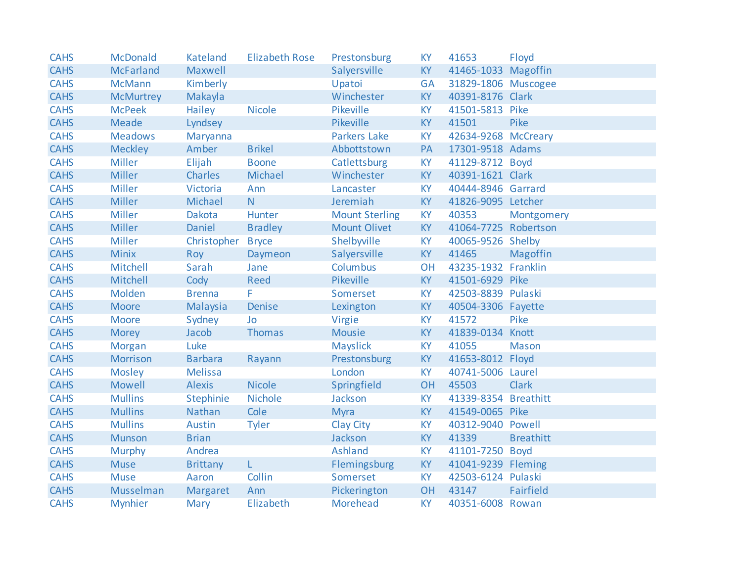| <b>CAHS</b> | <b>McDonald</b>  | <b>Kateland</b> | <b>Elizabeth Rose</b> | Prestonsburg          | <b>KY</b> | 41653                | Floyd            |
|-------------|------------------|-----------------|-----------------------|-----------------------|-----------|----------------------|------------------|
| <b>CAHS</b> | <b>McFarland</b> | Maxwell         |                       | Salyersville          | <b>KY</b> | 41465-1033 Magoffin  |                  |
| <b>CAHS</b> | <b>McMann</b>    | Kimberly        |                       | Upatoi                | <b>GA</b> | 31829-1806 Muscogee  |                  |
| <b>CAHS</b> | <b>McMurtrey</b> | Makayla         |                       | Winchester            | KY        | 40391-8176 Clark     |                  |
| <b>CAHS</b> | <b>McPeek</b>    | Hailey          | <b>Nicole</b>         | Pikeville             | <b>KY</b> | 41501-5813 Pike      |                  |
| <b>CAHS</b> | <b>Meade</b>     | Lyndsey         |                       | Pikeville             | <b>KY</b> | 41501                | Pike             |
| <b>CAHS</b> | <b>Meadows</b>   | Maryanna        |                       | <b>Parkers Lake</b>   | <b>KY</b> | 42634-9268 McCreary  |                  |
| <b>CAHS</b> | <b>Meckley</b>   | Amber           | <b>Brikel</b>         | Abbottstown           | PA        | 17301-9518 Adams     |                  |
| <b>CAHS</b> | <b>Miller</b>    | Elijah          | <b>Boone</b>          | Catlettsburg          | KY        | 41129-8712 Boyd      |                  |
| <b>CAHS</b> | <b>Miller</b>    | Charles         | Michael               | Winchester            | <b>KY</b> | 40391-1621 Clark     |                  |
| <b>CAHS</b> | <b>Miller</b>    | Victoria        | Ann                   | Lancaster             | <b>KY</b> | 40444-8946 Garrard   |                  |
| <b>CAHS</b> | Miller           | Michael         | N.                    | Jeremiah              | <b>KY</b> | 41826-9095 Letcher   |                  |
| <b>CAHS</b> | <b>Miller</b>    | Dakota          | Hunter                | <b>Mount Sterling</b> | <b>KY</b> | 40353                | Montgomery       |
| <b>CAHS</b> | Miller           | Daniel          | <b>Bradley</b>        | <b>Mount Olivet</b>   | <b>KY</b> | 41064-7725 Robertson |                  |
| <b>CAHS</b> | <b>Miller</b>    | Christopher     | <b>Bryce</b>          | Shelbyville           | <b>KY</b> | 40065-9526 Shelby    |                  |
| <b>CAHS</b> | <b>Minix</b>     | Roy             | Daymeon               | Salyersville          | <b>KY</b> | 41465                | Magoffin         |
| <b>CAHS</b> | Mitchell         | Sarah           | Jane                  | Columbus              | OH        | 43235-1932 Franklin  |                  |
| <b>CAHS</b> | Mitchell         | Cody            | <b>Reed</b>           | Pikeville             | KY        | 41501-6929 Pike      |                  |
| <b>CAHS</b> | Molden           | <b>Brenna</b>   | F.                    | Somerset              | <b>KY</b> | 42503-8839 Pulaski   |                  |
| <b>CAHS</b> | <b>Moore</b>     | Malaysia        | <b>Denise</b>         | Lexington             | KY        | 40504-3306 Fayette   |                  |
| <b>CAHS</b> | <b>Moore</b>     | Sydney          | Jo                    | Virgie                | <b>KY</b> | 41572                | Pike             |
| <b>CAHS</b> | <b>Morey</b>     | Jacob           | <b>Thomas</b>         | <b>Mousie</b>         | <b>KY</b> | 41839-0134 Knott     |                  |
| <b>CAHS</b> | Morgan           | Luke            |                       | Mayslick              | KY        | 41055                | <b>Mason</b>     |
| <b>CAHS</b> | Morrison         | <b>Barbara</b>  | Rayann                | Prestonsburg          | <b>KY</b> | 41653-8012 Floyd     |                  |
| <b>CAHS</b> | <b>Mosley</b>    | <b>Melissa</b>  |                       | London                | <b>KY</b> | 40741-5006 Laurel    |                  |
| <b>CAHS</b> | <b>Mowell</b>    | <b>Alexis</b>   | <b>Nicole</b>         | Springfield           | OH        | 45503                | <b>Clark</b>     |
| <b>CAHS</b> | <b>Mullins</b>   | Stephinie       | <b>Nichole</b>        | Jackson               | <b>KY</b> | 41339-8354 Breathitt |                  |
| <b>CAHS</b> | <b>Mullins</b>   | Nathan          | Cole                  | <b>Myra</b>           | <b>KY</b> | 41549-0065 Pike      |                  |
| <b>CAHS</b> | <b>Mullins</b>   | Austin          | <b>Tyler</b>          | Clay City             | <b>KY</b> | 40312-9040 Powell    |                  |
| <b>CAHS</b> | <b>Munson</b>    | <b>Brian</b>    |                       | Jackson               | <b>KY</b> | 41339                | <b>Breathitt</b> |
| <b>CAHS</b> | <b>Murphy</b>    | Andrea          |                       | <b>Ashland</b>        | <b>KY</b> | 41101-7250 Boyd      |                  |
| <b>CAHS</b> | <b>Muse</b>      | <b>Brittany</b> | L.                    | Flemingsburg          | KY        | 41041-9239 Fleming   |                  |
| <b>CAHS</b> | <b>Muse</b>      | Aaron           | Collin                | Somerset              | <b>KY</b> | 42503-6124 Pulaski   |                  |
| <b>CAHS</b> | Musselman        | Margaret        | Ann                   | Pickerington          | OH        | 43147                | Fairfield        |
| <b>CAHS</b> | <b>Mynhier</b>   | Mary            | Elizabeth             | Morehead              | <b>KY</b> | 40351-6008 Rowan     |                  |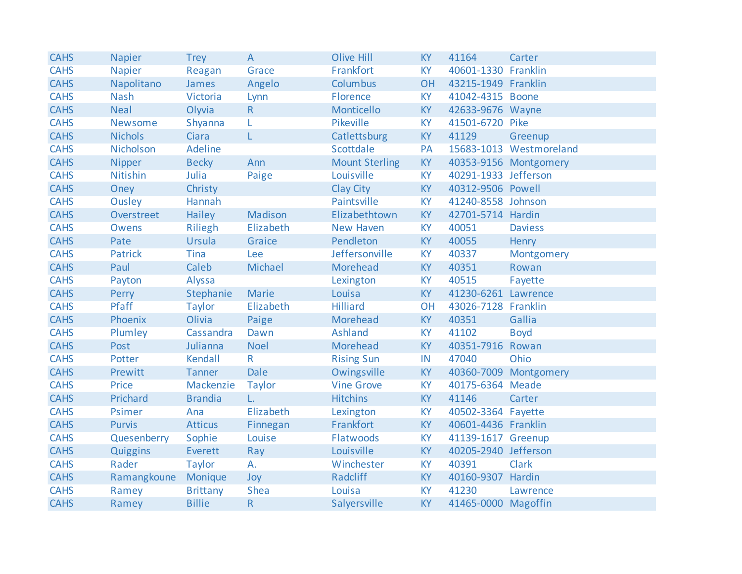| <b>CAHS</b> | <b>Napier</b>  | <b>Trey</b>     | $\overline{A}$ | <b>Olive Hill</b>     | <b>KY</b> | 41164                | Carter                  |
|-------------|----------------|-----------------|----------------|-----------------------|-----------|----------------------|-------------------------|
| <b>CAHS</b> | <b>Napier</b>  | Reagan          | Grace          | Frankfort             | <b>KY</b> | 40601-1330 Franklin  |                         |
| <b>CAHS</b> | Napolitano     | James           | Angelo         | <b>Columbus</b>       | <b>OH</b> | 43215-1949 Franklin  |                         |
| <b>CAHS</b> | <b>Nash</b>    | Victoria        | Lynn           | Florence              | <b>KY</b> | 41042-4315 Boone     |                         |
| <b>CAHS</b> | <b>Neal</b>    | Olyvia          | R              | Monticello            | <b>KY</b> | 42633-9676 Wayne     |                         |
| <b>CAHS</b> | Newsome        | Shyanna         | L              | Pikeville             | <b>KY</b> | 41501-6720 Pike      |                         |
| <b>CAHS</b> | <b>Nichols</b> | Ciara           | L              | Catlettsburg          | KY        | 41129                | Greenup                 |
| <b>CAHS</b> | Nicholson      | Adeline         |                | Scottdale             | PA        |                      | 15683-1013 Westmoreland |
| <b>CAHS</b> | Nipper         | <b>Becky</b>    | Ann            | <b>Mount Sterling</b> | <b>KY</b> |                      | 40353-9156 Montgomery   |
| <b>CAHS</b> | Nitishin       | Julia           | Paige          | Louisville            | <b>KY</b> | 40291-1933 Jefferson |                         |
| <b>CAHS</b> | Oney           | Christy         |                | Clay City             | KY        | 40312-9506 Powell    |                         |
| <b>CAHS</b> | Ousley         | Hannah          |                | Paintsville           | <b>KY</b> | 41240-8558 Johnson   |                         |
| <b>CAHS</b> | Overstreet     | Hailey          | Madison        | Elizabethtown         | KY        | 42701-5714 Hardin    |                         |
| <b>CAHS</b> | Owens          | Riliegh         | Elizabeth      | <b>New Haven</b>      | <b>KY</b> | 40051                | <b>Daviess</b>          |
| <b>CAHS</b> | Pate           | Ursula          | Graice         | Pendleton             | KY        | 40055                | Henry                   |
| <b>CAHS</b> | <b>Patrick</b> | Tina            | Lee            | Jeffersonville        | <b>KY</b> | 40337                | Montgomery              |
| <b>CAHS</b> | Paul           | Caleb           | Michael        | Morehead              | <b>KY</b> | 40351                | Rowan                   |
| <b>CAHS</b> | Payton         | Alyssa          |                | Lexington             | <b>KY</b> | 40515                | Fayette                 |
| <b>CAHS</b> | Perry          | Stephanie       | Marie          | Louisa                | <b>KY</b> | 41230-6261 Lawrence  |                         |
| <b>CAHS</b> | Pfaff          | <b>Taylor</b>   | Elizabeth      | <b>Hilliard</b>       | OH        | 43026-7128 Franklin  |                         |
| <b>CAHS</b> | Phoenix        | Olivia          | Paige          | Morehead              | <b>KY</b> | 40351                | Gallia                  |
| <b>CAHS</b> | Plumley        | Cassandra       | Dawn           | <b>Ashland</b>        | <b>KY</b> | 41102                | <b>Boyd</b>             |
| <b>CAHS</b> | Post           | Julianna        | <b>Noel</b>    | Morehead              | <b>KY</b> | 40351-7916 Rowan     |                         |
| <b>CAHS</b> | Potter         | Kendall         | R              | <b>Rising Sun</b>     | IN        | 47040                | Ohio                    |
| <b>CAHS</b> | Prewitt        | <b>Tanner</b>   | Dale           | Owingsville           | KY        |                      | 40360-7009 Montgomery   |
| <b>CAHS</b> | Price          | Mackenzie       | <b>Taylor</b>  | <b>Vine Grove</b>     | <b>KY</b> | 40175-6364 Meade     |                         |
| <b>CAHS</b> | Prichard       | <b>Brandia</b>  | $L_{\star}$    | <b>Hitchins</b>       | <b>KY</b> | 41146                | Carter                  |
| <b>CAHS</b> | Psimer         | Ana             | Elizabeth      | Lexington             | <b>KY</b> | 40502-3364 Fayette   |                         |
| <b>CAHS</b> | <b>Purvis</b>  | <b>Atticus</b>  | Finnegan       | Frankfort             | <b>KY</b> | 40601-4436 Franklin  |                         |
| <b>CAHS</b> | Quesenberry    | Sophie          | Louise         | Flatwoods             | <b>KY</b> | 41139-1617 Greenup   |                         |
| <b>CAHS</b> | Quiggins       | Everett         | Ray            | Louisville            | <b>KY</b> | 40205-2940 Jefferson |                         |
| <b>CAHS</b> | Rader          | <b>Taylor</b>   | A.             | Winchester            | <b>KY</b> | 40391                | <b>Clark</b>            |
| <b>CAHS</b> | Ramangkoune    | Monique         | Joy            | Radcliff              | <b>KY</b> | 40160-9307 Hardin    |                         |
| <b>CAHS</b> | Ramey          | <b>Brittany</b> | <b>Shea</b>    | Louisa                | KY        | 41230                | Lawrence                |
| <b>CAHS</b> | Ramey          | <b>Billie</b>   | $\mathsf{R}$   | Salyersville          | <b>KY</b> | 41465-0000 Magoffin  |                         |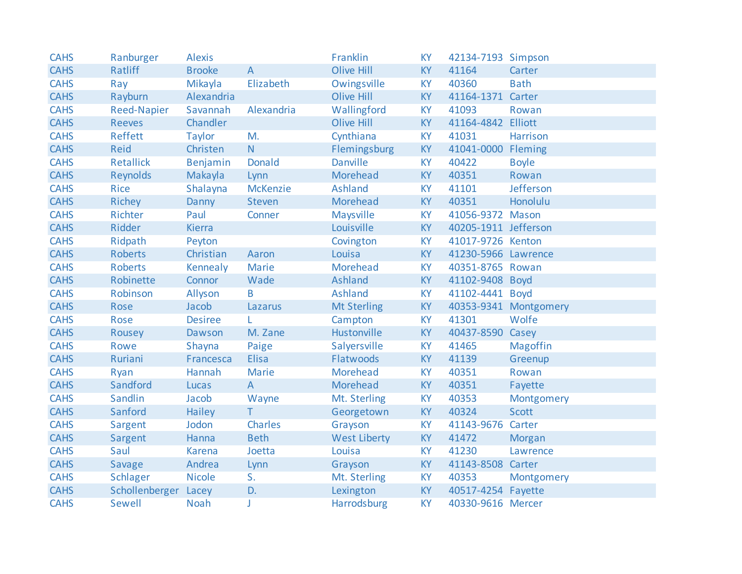| <b>CAHS</b> | Ranburger          | <b>Alexis</b>  |                 | Franklin            | <b>KY</b> | 42134-7193 Simpson   |                       |
|-------------|--------------------|----------------|-----------------|---------------------|-----------|----------------------|-----------------------|
| <b>CAHS</b> | Ratliff            | <b>Brooke</b>  | $\overline{A}$  | <b>Olive Hill</b>   | <b>KY</b> | 41164                | Carter                |
| <b>CAHS</b> | Ray                | Mikayla        | Elizabeth       | Owingsville         | <b>KY</b> | 40360                | <b>Bath</b>           |
| <b>CAHS</b> | Rayburn            | Alexandria     |                 | <b>Olive Hill</b>   | <b>KY</b> | 41164-1371           | Carter                |
| <b>CAHS</b> | <b>Reed-Napier</b> | Savannah       | Alexandria      | Wallingford         | <b>KY</b> | 41093                | Rowan                 |
| <b>CAHS</b> | <b>Reeves</b>      | Chandler       |                 | <b>Olive Hill</b>   | <b>KY</b> | 41164-4842 Elliott   |                       |
| <b>CAHS</b> | Reffett            | <b>Taylor</b>  | M.              | Cynthiana           | <b>KY</b> | 41031                | <b>Harrison</b>       |
| <b>CAHS</b> | Reid               | Christen       | N               | Flemingsburg        | KY        | 41041-0000 Fleming   |                       |
| <b>CAHS</b> | <b>Retallick</b>   | Benjamin       | <b>Donald</b>   | <b>Danville</b>     | KY        | 40422                | <b>Boyle</b>          |
| <b>CAHS</b> | Reynolds           | Makayla        | Lynn            | Morehead            | KY        | 40351                | Rowan                 |
| <b>CAHS</b> | <b>Rice</b>        | Shalayna       | <b>McKenzie</b> | <b>Ashland</b>      | KY        | 41101                | Jefferson             |
| <b>CAHS</b> | Richey             | Danny          | Steven          | Morehead            | <b>KY</b> | 40351                | Honolulu              |
| <b>CAHS</b> | Richter            | Paul           | Conner          | Maysville           | <b>KY</b> | 41056-9372 Mason     |                       |
| <b>CAHS</b> | Ridder             | <b>Kierra</b>  |                 | Louisville          | KY        | 40205-1911 Jefferson |                       |
| <b>CAHS</b> | Ridpath            | Peyton         |                 | Covington           | KY        | 41017-9726 Kenton    |                       |
| <b>CAHS</b> | <b>Roberts</b>     | Christian      | Aaron           | Louisa              | <b>KY</b> | 41230-5966 Lawrence  |                       |
| <b>CAHS</b> | <b>Roberts</b>     | Kennealy       | <b>Marie</b>    | Morehead            | <b>KY</b> | 40351-8765 Rowan     |                       |
| <b>CAHS</b> | Robinette          | Connor         | Wade            | <b>Ashland</b>      | <b>KY</b> | 41102-9408 Boyd      |                       |
| <b>CAHS</b> | Robinson           | Allyson        | B               | <b>Ashland</b>      | <b>KY</b> | 41102-4441 Boyd      |                       |
| <b>CAHS</b> | Rose               | Jacob          | Lazarus         | <b>Mt Sterling</b>  | KY        |                      | 40353-9341 Montgomery |
| <b>CAHS</b> | Rose               | <b>Desiree</b> | L               | Campton             | <b>KY</b> | 41301                | Wolfe                 |
| <b>CAHS</b> | Rousey             | Dawson         | M. Zane         | Hustonville         | <b>KY</b> | 40437-8590 Casey     |                       |
| <b>CAHS</b> | Rowe               | Shayna         | Paige           | Salyersville        | <b>KY</b> | 41465                | <b>Magoffin</b>       |
| <b>CAHS</b> | Ruriani            | Francesca      | <b>Elisa</b>    | Flatwoods           | <b>KY</b> | 41139                | Greenup               |
| <b>CAHS</b> | Ryan               | Hannah         | <b>Marie</b>    | Morehead            | <b>KY</b> | 40351                | Rowan                 |
| <b>CAHS</b> | Sandford           | Lucas          | $\overline{A}$  | Morehead            | KY        | 40351                | Fayette               |
| <b>CAHS</b> | Sandlin            | Jacob          | Wayne           | Mt. Sterling        | KY        | 40353                | Montgomery            |
| <b>CAHS</b> | Sanford            | Hailey         | T.              | Georgetown          | <b>KY</b> | 40324                | Scott                 |
| <b>CAHS</b> | Sargent            | Jodon          | Charles         | Grayson             | KY        | 41143-9676 Carter    |                       |
| <b>CAHS</b> | Sargent            | Hanna          | <b>Beth</b>     | <b>West Liberty</b> | KY        | 41472                | <b>Morgan</b>         |
| <b>CAHS</b> | Saul               | <b>Karena</b>  | Joetta          | Louisa              | KY        | 41230                | Lawrence              |
| <b>CAHS</b> | <b>Savage</b>      | Andrea         | Lynn            | Grayson             | <b>KY</b> | 41143-8508 Carter    |                       |
| <b>CAHS</b> | <b>Schlager</b>    | <b>Nicole</b>  | S.              | Mt. Sterling        | <b>KY</b> | 40353                | Montgomery            |
| <b>CAHS</b> | Schollenberger     | Lacey          | D.              | Lexington           | KY        | 40517-4254 Fayette   |                       |
| <b>CAHS</b> | Sewell             | <b>Noah</b>    | J               | Harrodsburg         | <b>KY</b> | 40330-9616 Mercer    |                       |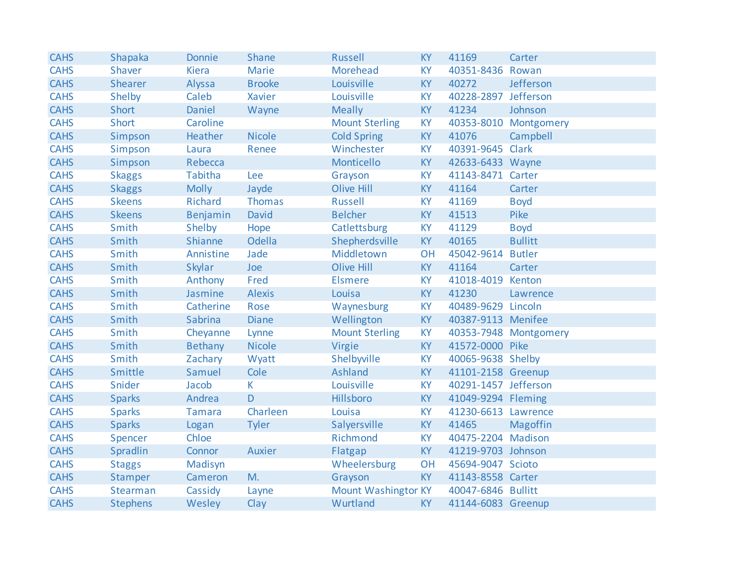| <b>CAHS</b> | Shapaka         | <b>Donnie</b>  | Shane         | <b>Russell</b>             | <b>KY</b> | 41169                | Carter                |
|-------------|-----------------|----------------|---------------|----------------------------|-----------|----------------------|-----------------------|
| <b>CAHS</b> | Shaver          | <b>Kiera</b>   | <b>Marie</b>  | Morehead                   | <b>KY</b> | 40351-8436 Rowan     |                       |
| <b>CAHS</b> | <b>Shearer</b>  | Alyssa         | <b>Brooke</b> | Louisville                 | <b>KY</b> | 40272                | Jefferson             |
| <b>CAHS</b> | Shelby          | Caleb          | Xavier        | Louisville                 | <b>KY</b> | 40228-2897 Jefferson |                       |
| <b>CAHS</b> | Short           | Daniel         | Wayne         | <b>Meally</b>              | <b>KY</b> | 41234                | Johnson               |
| <b>CAHS</b> | <b>Short</b>    | Caroline       |               | <b>Mount Sterling</b>      | KY        |                      | 40353-8010 Montgomery |
| <b>CAHS</b> | Simpson         | Heather        | <b>Nicole</b> | <b>Cold Spring</b>         | <b>KY</b> | 41076                | Campbell              |
| <b>CAHS</b> | Simpson         | Laura          | Renee         | Winchester                 | KY        | 40391-9645 Clark     |                       |
| <b>CAHS</b> | Simpson         | Rebecca        |               | Monticello                 | KY        | 42633-6433 Wayne     |                       |
| <b>CAHS</b> | <b>Skaggs</b>   | <b>Tabitha</b> | Lee           | Grayson                    | KY        | 41143-8471 Carter    |                       |
| <b>CAHS</b> | <b>Skaggs</b>   | <b>Molly</b>   | Jayde         | <b>Olive Hill</b>          | <b>KY</b> | 41164                | Carter                |
| <b>CAHS</b> | <b>Skeens</b>   | <b>Richard</b> | <b>Thomas</b> | <b>Russell</b>             | KY        | 41169                | <b>Boyd</b>           |
| <b>CAHS</b> | <b>Skeens</b>   | Benjamin       | David         | <b>Belcher</b>             | <b>KY</b> | 41513                | Pike                  |
| <b>CAHS</b> | Smith           | Shelby         | Hope          | Catlettsburg               | KY        | 41129                | <b>Boyd</b>           |
| <b>CAHS</b> | Smith           | Shianne        | <b>Odella</b> | Shepherdsville             | <b>KY</b> | 40165                | <b>Bullitt</b>        |
| <b>CAHS</b> | Smith           | Annistine      | Jade          | Middletown                 | OH        | 45042-9614           | <b>Butler</b>         |
| <b>CAHS</b> | Smith           | Skylar         | Joe           | <b>Olive Hill</b>          | <b>KY</b> | 41164                | Carter                |
| <b>CAHS</b> | Smith           | Anthony        | Fred          | <b>Elsmere</b>             | <b>KY</b> | 41018-4019 Kenton    |                       |
| <b>CAHS</b> | Smith           | Jasmine        | <b>Alexis</b> | Louisa                     | <b>KY</b> | 41230                | Lawrence              |
| <b>CAHS</b> | Smith           | Catherine      | Rose          | Waynesburg                 | KY        | 40489-9629 Lincoln   |                       |
| <b>CAHS</b> | Smith           | Sabrina        | <b>Diane</b>  | Wellington                 | <b>KY</b> | 40387-9113 Menifee   |                       |
| <b>CAHS</b> | Smith           | Cheyanne       | Lynne         | <b>Mount Sterling</b>      | KY        |                      | 40353-7948 Montgomery |
| <b>CAHS</b> | Smith           | <b>Bethany</b> | <b>Nicole</b> | Virgie                     | <b>KY</b> | 41572-0000 Pike      |                       |
| <b>CAHS</b> | Smith           | Zachary        | Wyatt         | Shelbyville                | KY        | 40065-9638 Shelby    |                       |
| <b>CAHS</b> | Smittle         | Samuel         | Cole          | <b>Ashland</b>             | KY        | 41101-2158 Greenup   |                       |
| <b>CAHS</b> | Snider          | Jacob          | $\mathsf K$   | Louisville                 | <b>KY</b> | 40291-1457 Jefferson |                       |
| <b>CAHS</b> | <b>Sparks</b>   | Andrea         | D             | Hillsboro                  | KY        | 41049-9294 Fleming   |                       |
| <b>CAHS</b> | <b>Sparks</b>   | <b>Tamara</b>  | Charleen      | Louisa                     | <b>KY</b> | 41230-6613 Lawrence  |                       |
| <b>CAHS</b> | <b>Sparks</b>   | Logan          | <b>Tyler</b>  | Salyersville               | KY        | 41465                | Magoffin              |
| <b>CAHS</b> | Spencer         | Chloe          |               | Richmond                   | <b>KY</b> | 40475-2204 Madison   |                       |
| <b>CAHS</b> | Spradlin        | Connor         | Auxier        | Flatgap                    | <b>KY</b> | 41219-9703 Johnson   |                       |
| <b>CAHS</b> | <b>Staggs</b>   | Madisyn        |               | Wheelersburg               | OH        | 45694-9047 Scioto    |                       |
| <b>CAHS</b> | Stamper         | Cameron        | M.            | Grayson                    | <b>KY</b> | 41143-8558 Carter    |                       |
| <b>CAHS</b> | Stearman        | Cassidy        | Layne         | <b>Mount Washingtor KY</b> |           | 40047-6846 Bullitt   |                       |
| <b>CAHS</b> | <b>Stephens</b> | Wesley         | Clay          | Wurtland                   | <b>KY</b> | 41144-6083 Greenup   |                       |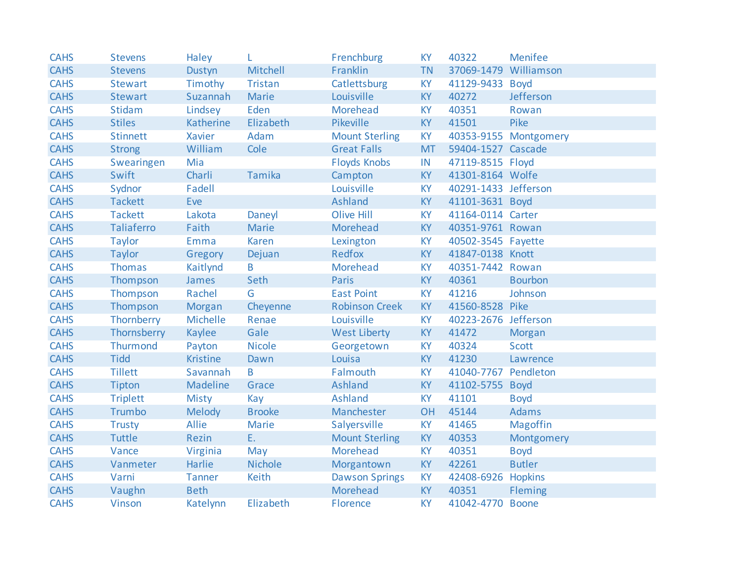| <b>CAHS</b> | <b>Stevens</b>  | Haley           |                | Frenchburg            | <b>KY</b> | 40322                 | <b>Menifee</b>        |
|-------------|-----------------|-----------------|----------------|-----------------------|-----------|-----------------------|-----------------------|
| <b>CAHS</b> | <b>Stevens</b>  | Dustyn          | Mitchell       | Franklin              | <b>TN</b> | 37069-1479 Williamson |                       |
| <b>CAHS</b> | <b>Stewart</b>  | Timothy         | <b>Tristan</b> | Catlettsburg          | <b>KY</b> | 41129-9433 Boyd       |                       |
| <b>CAHS</b> | <b>Stewart</b>  | Suzannah        | <b>Marie</b>   | Louisville            | <b>KY</b> | 40272                 | Jefferson             |
| <b>CAHS</b> | <b>Stidam</b>   | Lindsey         | Eden           | Morehead              | <b>KY</b> | 40351                 | Rowan                 |
| <b>CAHS</b> | <b>Stiles</b>   | Katherine       | Elizabeth      | Pikeville             | <b>KY</b> | 41501                 | Pike                  |
| <b>CAHS</b> | <b>Stinnett</b> | <b>Xavier</b>   | Adam           | <b>Mount Sterling</b> | <b>KY</b> |                       | 40353-9155 Montgomery |
| <b>CAHS</b> | <b>Strong</b>   | William         | Cole           | <b>Great Falls</b>    | <b>MT</b> | 59404-1527 Cascade    |                       |
| <b>CAHS</b> | Swearingen      | Mia             |                | <b>Floyds Knobs</b>   | IN        | 47119-8515 Floyd      |                       |
| <b>CAHS</b> | Swift           | Charli          | Tamika         | Campton               | <b>KY</b> | 41301-8164 Wolfe      |                       |
| <b>CAHS</b> | Sydnor          | Fadell          |                | Louisville            | <b>KY</b> | 40291-1433 Jefferson  |                       |
| <b>CAHS</b> | <b>Tackett</b>  | Eve             |                | Ashland               | <b>KY</b> | 41101-3631 Boyd       |                       |
| <b>CAHS</b> | <b>Tackett</b>  | Lakota          | Daneyl         | <b>Olive Hill</b>     | <b>KY</b> | 41164-0114 Carter     |                       |
| <b>CAHS</b> | Taliaferro      | Faith           | <b>Marie</b>   | Morehead              | <b>KY</b> | 40351-9761 Rowan      |                       |
| <b>CAHS</b> | <b>Taylor</b>   | Emma            | <b>Karen</b>   | Lexington             | <b>KY</b> | 40502-3545 Fayette    |                       |
| <b>CAHS</b> | <b>Taylor</b>   | Gregory         | Dejuan         | Redfox                | <b>KY</b> | 41847-0138 Knott      |                       |
| <b>CAHS</b> | <b>Thomas</b>   | Kaitlynd        | B              | Morehead              | <b>KY</b> | 40351-7442 Rowan      |                       |
| <b>CAHS</b> | Thompson        | James           | Seth           | <b>Paris</b>          | <b>KY</b> | 40361                 | <b>Bourbon</b>        |
| <b>CAHS</b> | Thompson        | Rachel          | G              | <b>East Point</b>     | <b>KY</b> | 41216                 | Johnson               |
| <b>CAHS</b> | Thompson        | <b>Morgan</b>   | Cheyenne       | <b>Robinson Creek</b> | <b>KY</b> | 41560-8528 Pike       |                       |
| <b>CAHS</b> | Thornberry      | Michelle        | Renae          | Louisville            | <b>KY</b> | 40223-2676 Jefferson  |                       |
| <b>CAHS</b> | Thornsberry     | Kaylee          | Gale           | <b>West Liberty</b>   | <b>KY</b> | 41472                 | Morgan                |
| <b>CAHS</b> | Thurmond        | Payton          | <b>Nicole</b>  | Georgetown            | KY        | 40324                 | <b>Scott</b>          |
| <b>CAHS</b> | <b>Tidd</b>     | <b>Kristine</b> | Dawn           | Louisa                | KY        | 41230                 | Lawrence              |
| <b>CAHS</b> | <b>Tillett</b>  | Savannah        | B              | Falmouth              | <b>KY</b> | 41040-7767            | Pendleton             |
| <b>CAHS</b> | Tipton          | Madeline        | Grace          | <b>Ashland</b>        | <b>KY</b> | 41102-5755            | <b>Boyd</b>           |
| <b>CAHS</b> | <b>Triplett</b> | <b>Misty</b>    | Kay            | <b>Ashland</b>        | <b>KY</b> | 41101                 | <b>Boyd</b>           |
| <b>CAHS</b> | Trumbo          | Melody          | <b>Brooke</b>  | Manchester            | OH        | 45144                 | <b>Adams</b>          |
| <b>CAHS</b> | <b>Trusty</b>   | Allie           | Marie          | Salyersville          | KY        | 41465                 | <b>Magoffin</b>       |
| <b>CAHS</b> | Tuttle          | <b>Rezin</b>    | E.             | <b>Mount Sterling</b> | <b>KY</b> | 40353                 | Montgomery            |
| <b>CAHS</b> | Vance           | Virginia        | May            | <b>Morehead</b>       | <b>KY</b> | 40351                 | <b>Boyd</b>           |
| <b>CAHS</b> | Vanmeter        | Harlie          | <b>Nichole</b> | Morgantown            | <b>KY</b> | 42261                 | <b>Butler</b>         |
| <b>CAHS</b> | Varni           | <b>Tanner</b>   | Keith          | <b>Dawson Springs</b> | <b>KY</b> | 42408-6926            | <b>Hopkins</b>        |
| <b>CAHS</b> | Vaughn          | <b>Beth</b>     |                | Morehead              | <b>KY</b> | 40351                 | Fleming               |
| <b>CAHS</b> | Vinson          | Katelynn        | Elizabeth      | Florence              | <b>KY</b> | 41042-4770 Boone      |                       |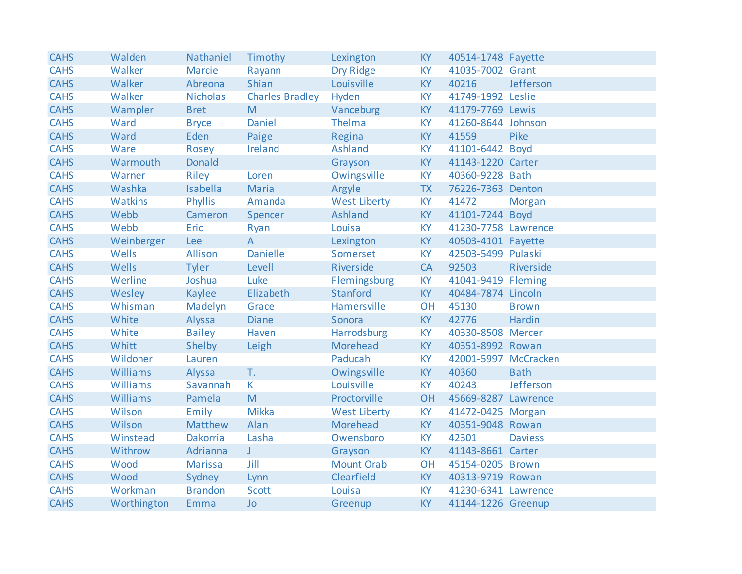| <b>CAHS</b> | Walden      | Nathaniel       | Timothy                | Lexington           | <b>KY</b> | 40514-1748 Fayette   |                |
|-------------|-------------|-----------------|------------------------|---------------------|-----------|----------------------|----------------|
| <b>CAHS</b> | Walker      | Marcie          | Rayann                 | Dry Ridge           | <b>KY</b> | 41035-7002 Grant     |                |
| <b>CAHS</b> | Walker      | Abreona         | Shian                  | Louisville          | <b>KY</b> | 40216                | Jefferson      |
| <b>CAHS</b> | Walker      | <b>Nicholas</b> | <b>Charles Bradley</b> | Hyden               | <b>KY</b> | 41749-1992 Leslie    |                |
| <b>CAHS</b> | Wampler     | <b>Bret</b>     | M                      | Vanceburg           | KY        | 41179-7769 Lewis     |                |
| <b>CAHS</b> | Ward        | <b>Bryce</b>    | Daniel                 | Thelma              | <b>KY</b> | 41260-8644 Johnson   |                |
| <b>CAHS</b> | Ward        | Eden            | Paige                  | Regina              | <b>KY</b> | 41559                | Pike           |
| <b>CAHS</b> | Ware        | Rosey           | Ireland                | Ashland             | <b>KY</b> | 41101-6442 Boyd      |                |
| <b>CAHS</b> | Warmouth    | Donald          |                        | Grayson             | <b>KY</b> | 41143-1220 Carter    |                |
| <b>CAHS</b> | Warner      | Riley           | Loren                  | Owingsville         | <b>KY</b> | 40360-9228 Bath      |                |
| <b>CAHS</b> | Washka      | Isabella        | Maria                  | Argyle              | <b>TX</b> | 76226-7363 Denton    |                |
| <b>CAHS</b> | Watkins     | <b>Phyllis</b>  | Amanda                 | <b>West Liberty</b> | <b>KY</b> | 41472                | Morgan         |
| <b>CAHS</b> | Webb        | Cameron         | Spencer                | Ashland             | KY        | 41101-7244 Boyd      |                |
| <b>CAHS</b> | Webb        | Eric            | Ryan                   | Louisa              | <b>KY</b> | 41230-7758 Lawrence  |                |
| <b>CAHS</b> | Weinberger  | Lee             | $\overline{A}$         | Lexington           | <b>KY</b> | 40503-4101 Fayette   |                |
| <b>CAHS</b> | Wells       | Allison         | <b>Danielle</b>        | Somerset            | <b>KY</b> | 42503-5499 Pulaski   |                |
| <b>CAHS</b> | Wells       | Tyler           | Levell                 | Riverside           | CA        | 92503                | Riverside      |
| <b>CAHS</b> | Werline     | Joshua          | Luke                   | Flemingsburg        | <b>KY</b> | 41041-9419 Fleming   |                |
| <b>CAHS</b> | Wesley      | Kaylee          | Elizabeth              | Stanford            | <b>KY</b> | 40484-7874 Lincoln   |                |
| <b>CAHS</b> | Whisman     | Madelyn         | Grace                  | Hamersville         | OH        | 45130                | <b>Brown</b>   |
| <b>CAHS</b> | White       | Alyssa          | <b>Diane</b>           | Sonora              | <b>KY</b> | 42776                | Hardin         |
| <b>CAHS</b> | White       | <b>Bailey</b>   | Haven                  | Harrodsburg         | <b>KY</b> | 40330-8508 Mercer    |                |
| <b>CAHS</b> | Whitt       | Shelby          | Leigh                  | Morehead            | <b>KY</b> | 40351-8992 Rowan     |                |
| <b>CAHS</b> | Wildoner    | Lauren          |                        | Paducah             | <b>KY</b> | 42001-5997 McCracken |                |
| <b>CAHS</b> | Williams    | Alyssa          | T.                     | Owingsville         | KY        | 40360                | <b>Bath</b>    |
| <b>CAHS</b> | Williams    | Savannah        | $\mathsf K$            | Louisville          | <b>KY</b> | 40243                | Jefferson      |
| <b>CAHS</b> | Williams    | Pamela          | M                      | Proctorville        | OH        | 45669-8287 Lawrence  |                |
| <b>CAHS</b> | Wilson      | Emily           | <b>Mikka</b>           | <b>West Liberty</b> | <b>KY</b> | 41472-0425 Morgan    |                |
| <b>CAHS</b> | Wilson      | Matthew         | Alan                   | Morehead            | <b>KY</b> | 40351-9048 Rowan     |                |
| <b>CAHS</b> | Winstead    | Dakorria        | Lasha                  | Owensboro           | <b>KY</b> | 42301                | <b>Daviess</b> |
| <b>CAHS</b> | Withrow     | Adrianna        | J.                     | Grayson             | KY        | 41143-8661 Carter    |                |
| <b>CAHS</b> | Wood        | <b>Marissa</b>  | Jill                   | <b>Mount Orab</b>   | OH        | 45154-0205 Brown     |                |
| <b>CAHS</b> | Wood        | Sydney          | Lynn                   | Clearfield          | <b>KY</b> | 40313-9719 Rowan     |                |
| <b>CAHS</b> | Workman     | <b>Brandon</b>  | Scott                  | Louisa              | <b>KY</b> | 41230-6341 Lawrence  |                |
| <b>CAHS</b> | Worthington | Emma            | <b>Jo</b>              | Greenup             | <b>KY</b> | 41144-1226 Greenup   |                |